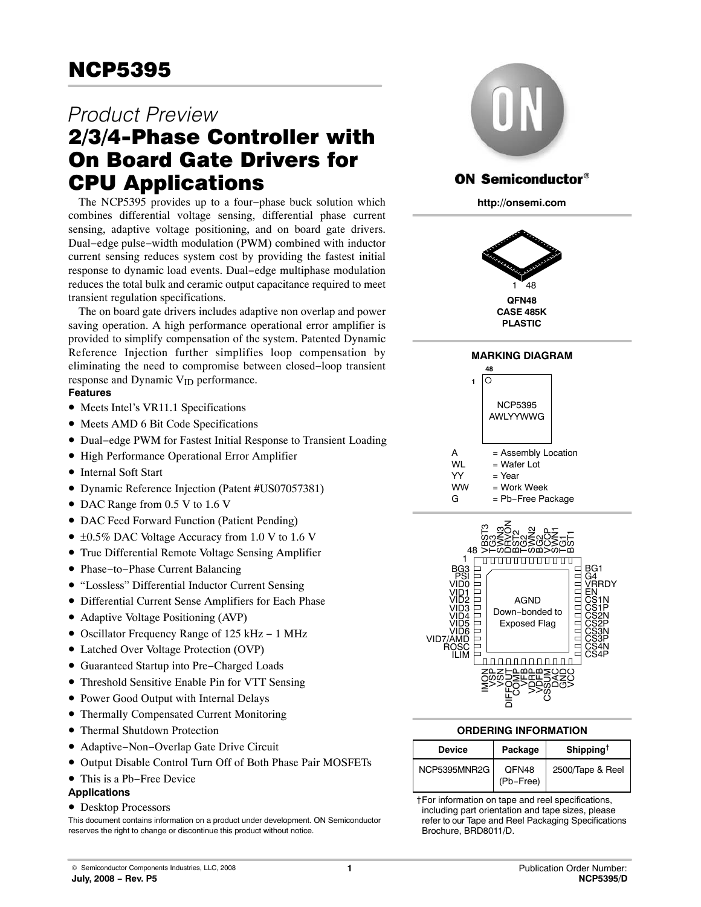# *Product Preview*

# 2/3/4-Phase Controller with On Board Gate Drivers for CPU Applications

The NCP5395 provides up to a four−phase buck solution which combines differential voltage sensing, differential phase current sensing, adaptive voltage positioning, and on board gate drivers. Dual−edge pulse−width modulation (PWM) combined with inductor current sensing reduces system cost by providing the fastest initial response to dynamic load events. Dual−edge multiphase modulation reduces the total bulk and ceramic output capacitance required to meet transient regulation specifications.

The on board gate drivers includes adaptive non overlap and power saving operation. A high performance operational error amplifier is provided to simplify compensation of the system. Patented Dynamic Reference Injection further simplifies loop compensation by eliminating the need to compromise between closed−loop transient response and Dynamic  $V_{ID}$  performance.

# **Features**

- Meets Intel's VR11.1 Specifications
- Meets AMD 6 Bit Code Specifications
- Dual−edge PWM for Fastest Initial Response to Transient Loading
- High Performance Operational Error Amplifier
- Internal Soft Start
- Dynamic Reference Injection (Patent #US07057381)
- DAC Range from 0.5 V to 1.6 V
- DAC Feed Forward Function (Patient Pending)
- ±0.5% DAC Voltage Accuracy from 1.0 V to 1.6 V
- True Differential Remote Voltage Sensing Amplifier
- Phase−to−Phase Current Balancing
- "Lossless" Differential Inductor Current Sensing
- Differential Current Sense Amplifiers for Each Phase
- Adaptive Voltage Positioning (AVP)
- Oscillator Frequency Range of 125 kHz − 1 MHz
- Latched Over Voltage Protection (OVP)
- Guaranteed Startup into Pre−Charged Loads
- Threshold Sensitive Enable Pin for VTT Sensing
- Power Good Output with Internal Delays
- Thermally Compensated Current Monitoring
- Thermal Shutdown Protection
- Adaptive−Non−Overlap Gate Drive Circuit
- Output Disable Control Turn Off of Both Phase Pair MOSFETs
- This is a Pb−Free Device

# **Applications**

• Desktop Processors

This document contains information on a product under development. ON Semiconductor reserves the right to change or discontinue this product without notice.



# **ON Semiconductor®**

**http://onsemi.com**











### **ORDERING INFORMATION**

| <b>Device</b> | Package            | Shipping <sup>†</sup> |
|---------------|--------------------|-----------------------|
| NCP5395MNR2G  | QFN48<br>(Pb-Free) | 2500/Tape & Reel      |

†For information on tape and reel specifications, including part orientation and tape sizes, please refer to our Tape and Reel Packaging Specifications Brochure, BRD8011/D.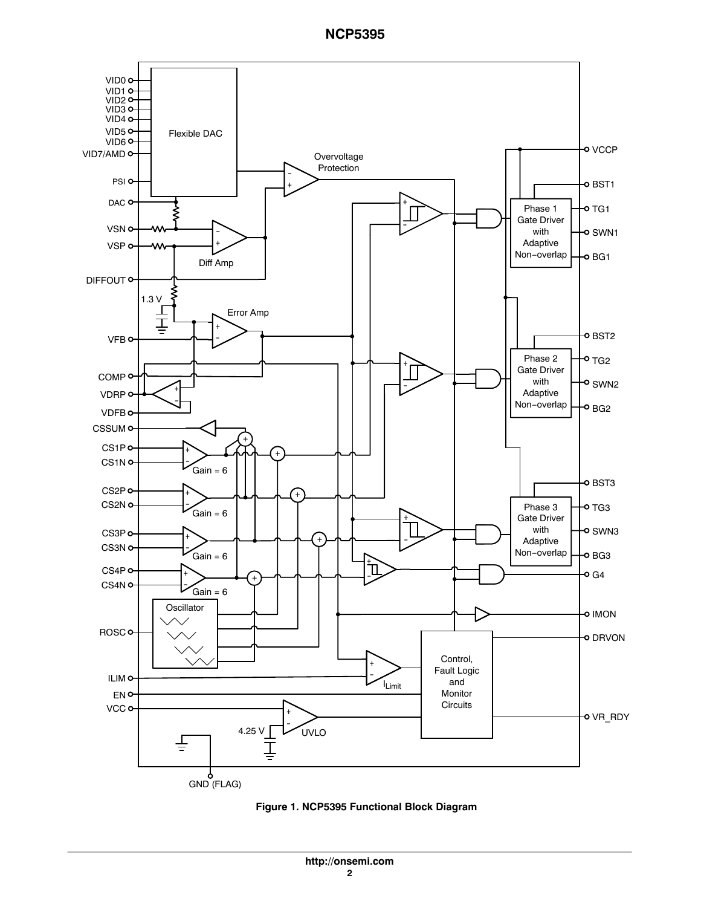

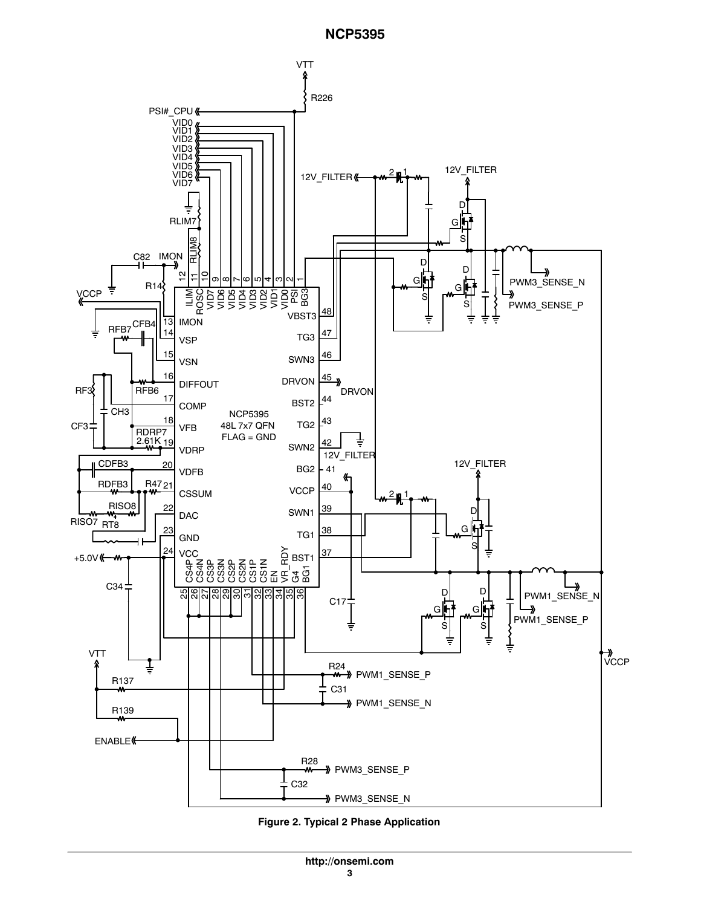

**Figure 2. Typical 2 Phase Application**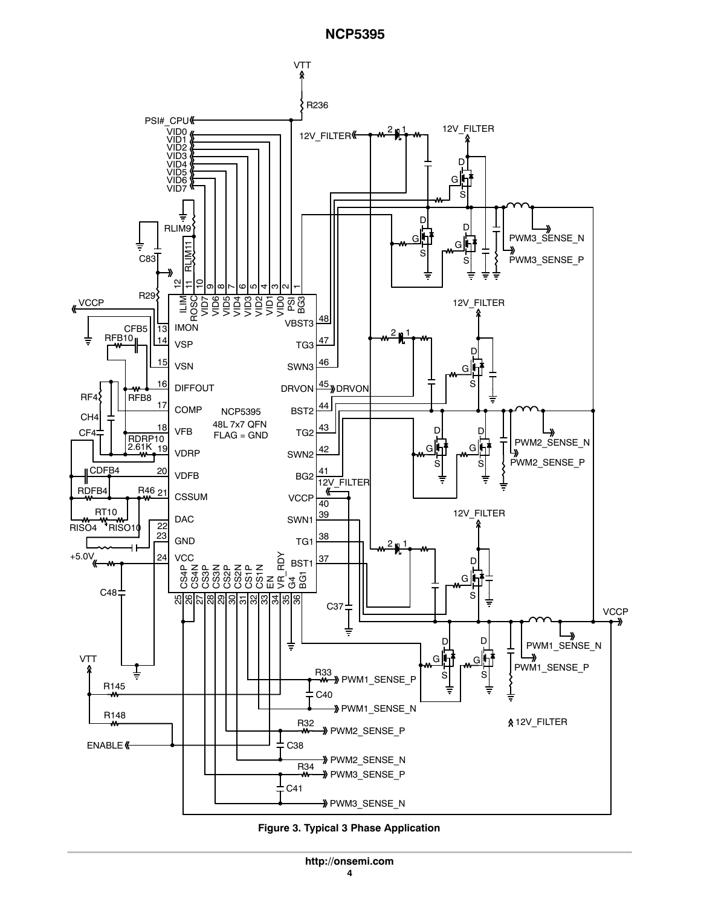

**Figure 3. Typical 3 Phase Application**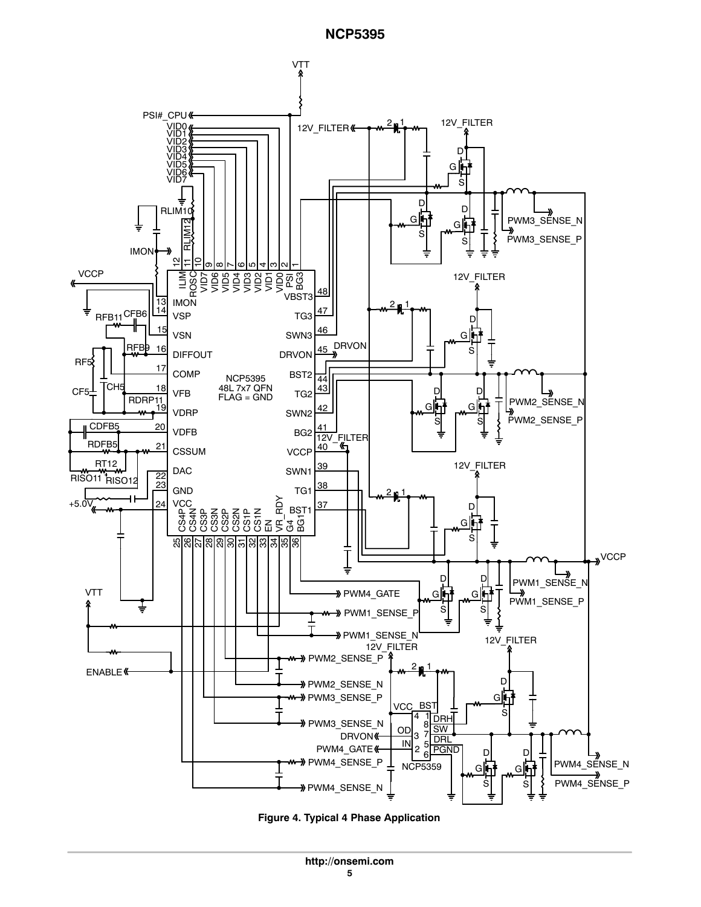

**Figure 4. Typical 4 Phase Application**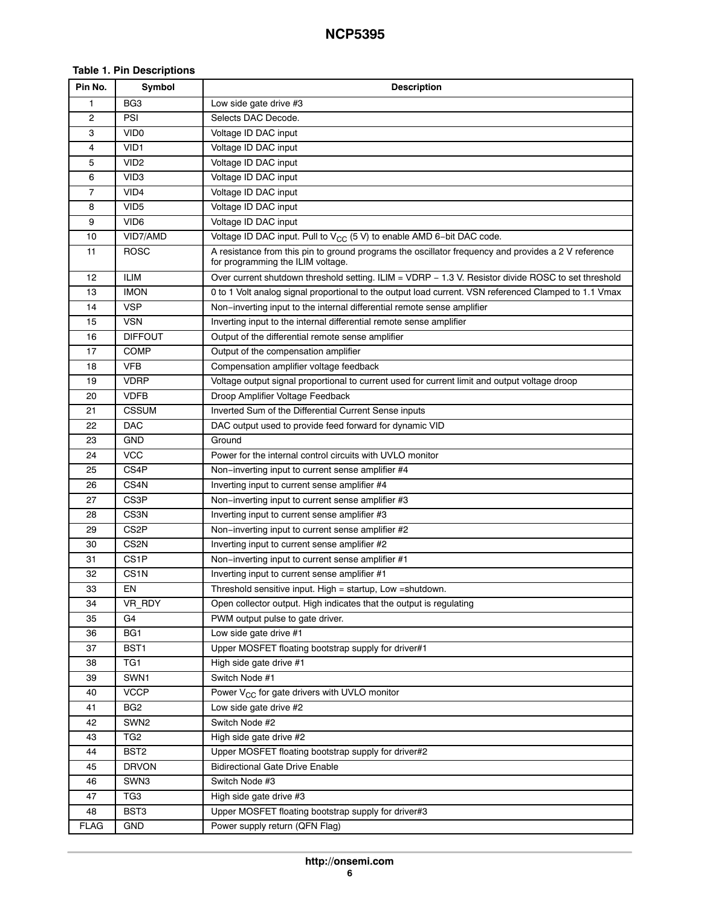### **Table 1. Pin Descriptions**

| Pin No.     | Symbol            | <b>Description</b>                                                                                                                       |
|-------------|-------------------|------------------------------------------------------------------------------------------------------------------------------------------|
| 1           | BG <sub>3</sub>   | Low side gate drive #3                                                                                                                   |
| 2           | PSI               | Selects DAC Decode.                                                                                                                      |
| 3           | VID <sub>0</sub>  | Voltage ID DAC input                                                                                                                     |
| 4           | VID1              | Voltage ID DAC input                                                                                                                     |
| 5           | VID <sub>2</sub>  | Voltage ID DAC input                                                                                                                     |
| 6           | VID <sub>3</sub>  | Voltage ID DAC input                                                                                                                     |
| 7           | VID <sub>4</sub>  | Voltage ID DAC input                                                                                                                     |
| 8           | VID <sub>5</sub>  | Voltage ID DAC input                                                                                                                     |
| 9           | VID <sub>6</sub>  | Voltage ID DAC input                                                                                                                     |
| 10          | VID7/AMD          | Voltage ID DAC input. Pull to V <sub>CC</sub> (5 V) to enable AMD 6-bit DAC code.                                                        |
| 11          | <b>ROSC</b>       | A resistance from this pin to ground programs the oscillator frequency and provides a 2 V reference<br>for programming the ILIM voltage. |
| 12          | <b>ILIM</b>       | Over current shutdown threshold setting. ILIM = VDRP - 1.3 V. Resistor divide ROSC to set threshold                                      |
| 13          | <b>IMON</b>       | 0 to 1 Volt analog signal proportional to the output load current. VSN referenced Clamped to 1.1 Vmax                                    |
| 14          | VSP               | Non-inverting input to the internal differential remote sense amplifier                                                                  |
| 15          | <b>VSN</b>        | Inverting input to the internal differential remote sense amplifier                                                                      |
| 16          | <b>DIFFOUT</b>    | Output of the differential remote sense amplifier                                                                                        |
| 17          | COMP              | Output of the compensation amplifier                                                                                                     |
| 18          | <b>VFB</b>        | Compensation amplifier voltage feedback                                                                                                  |
| 19          | <b>VDRP</b>       | Voltage output signal proportional to current used for current limit and output voltage droop                                            |
| 20          | <b>VDFB</b>       | Droop Amplifier Voltage Feedback                                                                                                         |
| 21          | <b>CSSUM</b>      | Inverted Sum of the Differential Current Sense inputs                                                                                    |
| 22          | <b>DAC</b>        | DAC output used to provide feed forward for dynamic VID                                                                                  |
| 23          | <b>GND</b>        | Ground                                                                                                                                   |
| 24          | <b>VCC</b>        | Power for the internal control circuits with UVLO monitor                                                                                |
| 25          | CS4P              | Non-inverting input to current sense amplifier #4                                                                                        |
| 26          | CS4N              | Inverting input to current sense amplifier #4                                                                                            |
| 27          | CS3P              | Non-inverting input to current sense amplifier #3                                                                                        |
| 28          | CS3N              | Inverting input to current sense amplifier #3                                                                                            |
| 29          | CS <sub>2</sub> P | Non–inverting input to current sense amplifier #2                                                                                        |
| 30          | CS <sub>2N</sub>  | Inverting input to current sense amplifier #2                                                                                            |
| 31          | CS1P              | Non-inverting input to current sense amplifier #1                                                                                        |
| 32          | CS <sub>1</sub> N | Inverting input to current sense amplifier #1                                                                                            |
| 33          | EN                | Threshold sensitive input. High = startup, Low = shutdown.                                                                               |
| 34          | VR_RDY            | Open collector output. High indicates that the output is regulating                                                                      |
| 35          | G4                | PWM output pulse to gate driver.                                                                                                         |
| 36          | BG <sub>1</sub>   | Low side gate drive #1                                                                                                                   |
| 37          | BST <sub>1</sub>  | Upper MOSFET floating bootstrap supply for driver#1                                                                                      |
| 38          | TG1               | High side gate drive #1                                                                                                                  |
| 39          | SWN1              | Switch Node #1                                                                                                                           |
| 40          | <b>VCCP</b>       | Power V <sub>CC</sub> for gate drivers with UVLO monitor                                                                                 |
| 41          | BG <sub>2</sub>   | Low side gate drive #2                                                                                                                   |
| 42          | SWN <sub>2</sub>  | Switch Node #2                                                                                                                           |
| 43          | TG <sub>2</sub>   | High side gate drive #2                                                                                                                  |
| 44          | BST <sub>2</sub>  | Upper MOSFET floating bootstrap supply for driver#2                                                                                      |
| 45          | <b>DRVON</b>      | <b>Bidirectional Gate Drive Enable</b>                                                                                                   |
| 46          | SWN3              | Switch Node #3                                                                                                                           |
| 47          | TG3               | High side gate drive #3                                                                                                                  |
| 48          | BST3              | Upper MOSFET floating bootstrap supply for driver#3                                                                                      |
| <b>FLAG</b> | <b>GND</b>        | Power supply return (QFN Flag)                                                                                                           |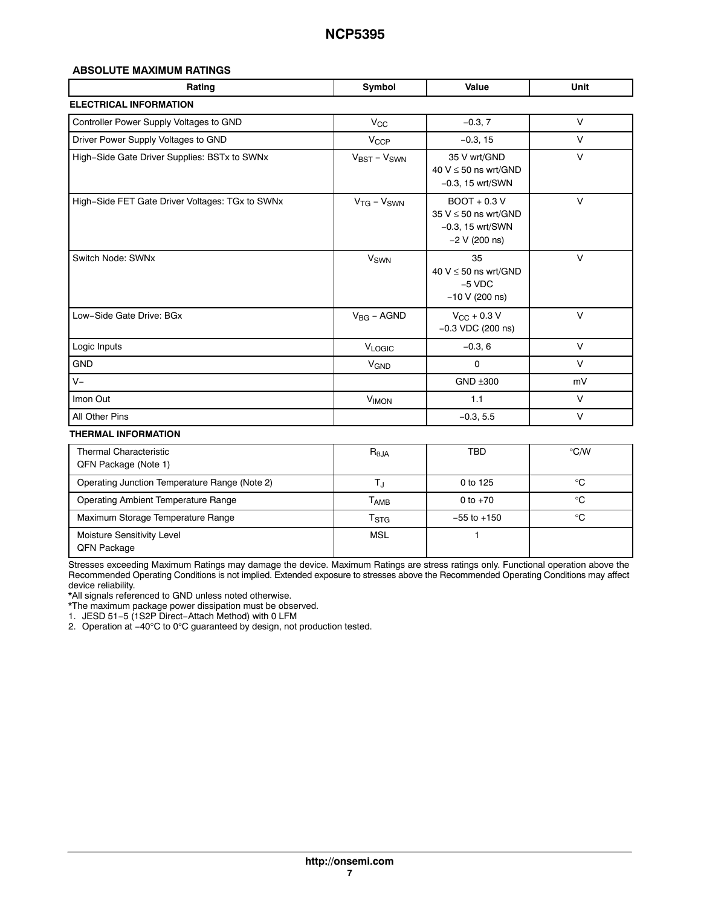### **ABSOLUTE MAXIMUM RATINGS**

| Rating                                          | Symbol                            | Value                                                                                | Unit   |
|-------------------------------------------------|-----------------------------------|--------------------------------------------------------------------------------------|--------|
| <b>ELECTRICAL INFORMATION</b>                   |                                   |                                                                                      |        |
| Controller Power Supply Voltages to GND         | $V_{\rm CC}$                      | $-0.3, 7$                                                                            | $\vee$ |
| Driver Power Supply Voltages to GND             | <b>V<sub>CCP</sub></b>            | $-0.3, 15$                                                                           | $\vee$ |
| High-Side Gate Driver Supplies: BSTx to SWNx    | $V_{\text{BST}} - V_{\text{SWN}}$ | 35 V wrt/GND<br>40 $V \le 50$ ns wrt/GND<br>$-0.3$ , 15 wrt/SWN                      | $\vee$ |
| High-Side FET Gate Driver Voltages: TGx to SWNx | $V_{TG} - V_{SWN}$                | $BOOT + 0.3 V$<br>35 $V \le 50$ ns wrt/GND<br>$-0.3$ , 15 wrt/SWN<br>$-2$ V (200 ns) | V      |
| Switch Node: SWNx                               | <b>V<sub>SWN</sub></b>            | 35<br>40 $V \le 50$ ns wrt/GND<br>$-5$ VDC<br>$-10 V (200 ns)$                       | $\vee$ |
| Low-Side Gate Drive: BGx                        | $V_{BG}$ – AGND                   | $V_{\text{CC}} + 0.3 V$<br>$-0.3$ VDC (200 ns)                                       | $\vee$ |
| Logic Inputs                                    | VLOGIC                            | $-0.3, 6$                                                                            | $\vee$ |
| <b>GND</b>                                      | <b>V<sub>GND</sub></b>            | 0                                                                                    | $\vee$ |
| $V -$                                           |                                   | $GND + 300$                                                                          | mV     |
| Imon Out                                        | <b>V<sub>IMON</sub></b>           | 1.1                                                                                  | $\vee$ |
| All Other Pins                                  |                                   | $-0.3, 5.5$                                                                          | $\vee$ |
| <b>THERMAL INFORMATION</b>                      |                                   |                                                                                      |        |

| <b>Thermal Characteristic</b><br>QFN Package (Note 1) | $R_{\theta,JA}$           | <b>TBD</b>      | $\rm ^{\circ}$ C/W |
|-------------------------------------------------------|---------------------------|-----------------|--------------------|
| Operating Junction Temperature Range (Note 2)         |                           | 0 to 125        | °C                 |
| Operating Ambient Temperature Range                   | Т <sub>АМВ</sub>          | 0 to $+70$      | °C                 |
| Maximum Storage Temperature Range                     | $\mathsf{T}_{\text{STG}}$ | $-55$ to $+150$ | °C                 |
| Moisture Sensitivity Level<br>QFN Package             | <b>MSL</b>                |                 |                    |

Stresses exceeding Maximum Ratings may damage the device. Maximum Ratings are stress ratings only. Functional operation above the Recommended Operating Conditions is not implied. Extended exposure to stresses above the Recommended Operating Conditions may affect device reliability.

\*All signals referenced to GND unless noted otherwise.

\*The maximum package power dissipation must be observed.

1. JESD 51−5 (1S2P Direct−Attach Method) with 0 LFM

2. Operation at −40°C to 0°C guaranteed by design, not production tested.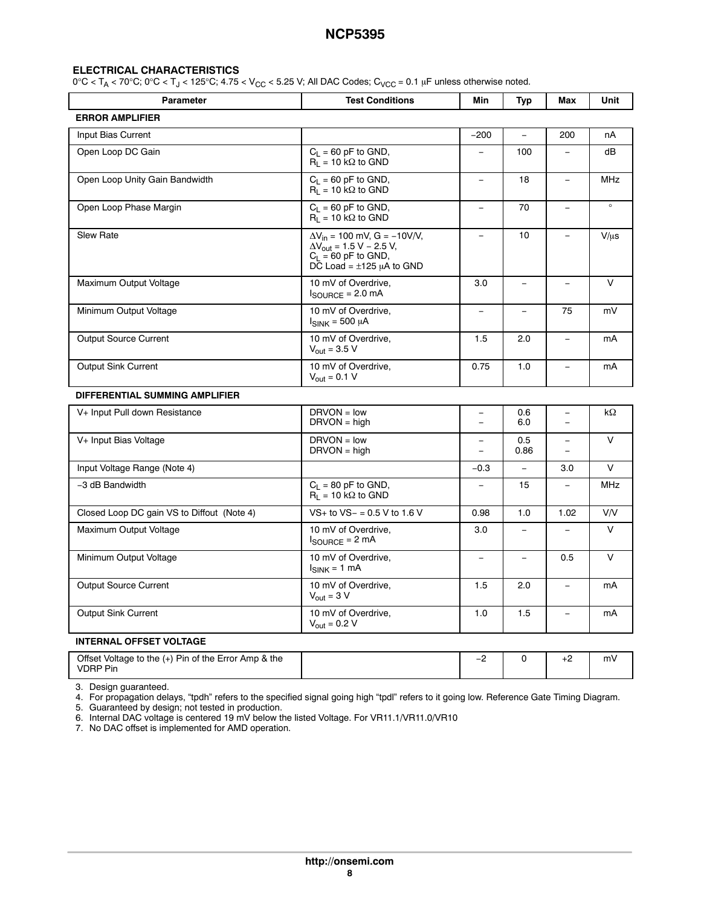#### **ELECTRICAL CHARACTERISTICS**

 $0^{\circ}$ C < T<sub>A</sub> < 70 $^{\circ}$ C; 0 $^{\circ}$ C < T<sub>J</sub> < 125 $^{\circ}$ C; 4.75 < V<sub>CC</sub> < 5.25 V; All DAC Codes; C<sub>VCC</sub> = 0.1 µF unless otherwise noted.

| <b>Parameter</b>                           | <b>Test Conditions</b>                                                                                                                              | Min                           | Typ                      | Max                                 | Unit       |
|--------------------------------------------|-----------------------------------------------------------------------------------------------------------------------------------------------------|-------------------------------|--------------------------|-------------------------------------|------------|
| <b>ERROR AMPLIFIER</b>                     |                                                                                                                                                     |                               |                          |                                     |            |
| Input Bias Current                         |                                                                                                                                                     | $-200$                        | $\equiv$                 | 200                                 | nA         |
| Open Loop DC Gain                          | $C_L = 60$ pF to GND,<br>$R_L = 10 k\Omega$ to GND                                                                                                  | $\equiv$                      | 100                      | $\overline{\phantom{0}}$            | dB         |
| Open Loop Unity Gain Bandwidth             | $C_1 = 60$ pF to GND,<br>$R_L$ = 10 k $\Omega$ to GND                                                                                               | $\equiv$                      | 18                       | $\equiv$                            | <b>MHz</b> |
| Open Loop Phase Margin                     | $C_L = 60$ pF to GND,<br>$R_1 = 10 k\Omega$ to GND                                                                                                  | $\overline{\phantom{0}}$      | 70                       | $\overline{\phantom{a}}$            | $\circ$    |
| Slew Rate                                  | $\Delta V_{in}$ = 100 mV, G = -10V/V,<br>$\Delta V_{\text{out}} = 1.5 V - 2.5 V,$<br>$C_L = 60$ pF to GND,<br>$D\bar{C}$ Load = $\pm 125$ µA to GND | $\overline{a}$                | 10                       |                                     | $V/\mu s$  |
| Maximum Output Voltage                     | 10 mV of Overdrive,<br>$I_{\text{SOLIRCF}}$ = 2.0 mA                                                                                                | 3.0                           | $\overline{\phantom{m}}$ | $\equiv$                            | $\vee$     |
| Minimum Output Voltage                     | 10 mV of Overdrive,<br>$I_{SINK}$ = 500 µA                                                                                                          | $\overline{\phantom{0}}$      | $\qquad \qquad -$        | 75                                  | mV         |
| <b>Output Source Current</b>               | 10 mV of Overdrive,<br>$V_{\text{out}} = 3.5 V$                                                                                                     | 1.5                           | 2.0                      | $\equiv$                            | mA         |
| <b>Output Sink Current</b>                 | 10 mV of Overdrive.<br>$V_{\text{out}} = 0.1 V$                                                                                                     | 0.75                          | 1.0                      | $\equiv$                            | mA         |
| DIFFERENTIAL SUMMING AMPLIFIER             |                                                                                                                                                     |                               |                          |                                     |            |
| V+ Input Pull down Resistance              | $DRVON = low$<br>$DRVON = high$                                                                                                                     | $\qquad \qquad -$<br>$\equiv$ | 0.6<br>6.0               | $\qquad \qquad -$<br>$\overline{a}$ | $k\Omega$  |
| V+ Input Bias Voltage                      | $DRVON = low$<br>$DRVON = high$                                                                                                                     | $\overline{\phantom{0}}$      | 0.5<br>0.86              | $\overline{\phantom{a}}$            | $\vee$     |
| Input Voltage Range (Note 4)               |                                                                                                                                                     | $-0.3$                        | $\equiv$                 | 3.0                                 | $\vee$     |
| -3 dB Bandwidth                            | $C_L = 80$ pF to GND,<br>$R_L = 10 k\Omega$ to GND                                                                                                  |                               | 15                       |                                     | <b>MHz</b> |
| Closed Loop DC gain VS to Diffout (Note 4) | $VS$ + to $VS$ – = 0.5 V to 1.6 V                                                                                                                   | 0.98                          | 1.0                      | 1.02                                | V/V        |
| Maximum Output Voltage                     | 10 mV of Overdrive,<br>$I_{\text{SOURCE}} = 2 \text{ mA}$                                                                                           | 3.0                           | $\qquad \qquad -$        |                                     | $\vee$     |
| Minimum Output Voltage                     | 10 mV of Overdrive,<br>$I_{SINK} = 1 mA$                                                                                                            | $\overline{a}$                | $\overline{\phantom{0}}$ | 0.5                                 | $\vee$     |
| Output Source Current                      | 10 mV of Overdrive,<br>$V_{\text{out}} = 3 V$                                                                                                       | 1.5                           | 2.0                      | $\equiv$                            | mA         |
| Output Sink Current                        | 10 mV of Overdrive,<br>$V_{\text{out}} = 0.2 V$                                                                                                     | 1.0                           | 1.5                      | $\equiv$                            | mA         |
| <b>INTERNAL OFFSET VOLTAGE</b>             |                                                                                                                                                     |                               |                          |                                     |            |

| Offset Voltage to the (+) Pin of the Error Amp & the<br><b>VDRP Pin</b> |  |  | mV |
|-------------------------------------------------------------------------|--|--|----|
|                                                                         |  |  |    |

[3.](#page-13-0) Design guaranteed.

[4.](#page-13-0) For propagation delays, "tpdh" refers to the specified signal going high "tpdl" refers to it going low. Reference Gate Timing Diagram.

[5.](#page-13-0) Guaranteed by design; not tested in production.

[6.](#page-13-0) Internal DAC voltage is centered 19 mV below the listed Voltage. For VR11.1/VR11.0/VR10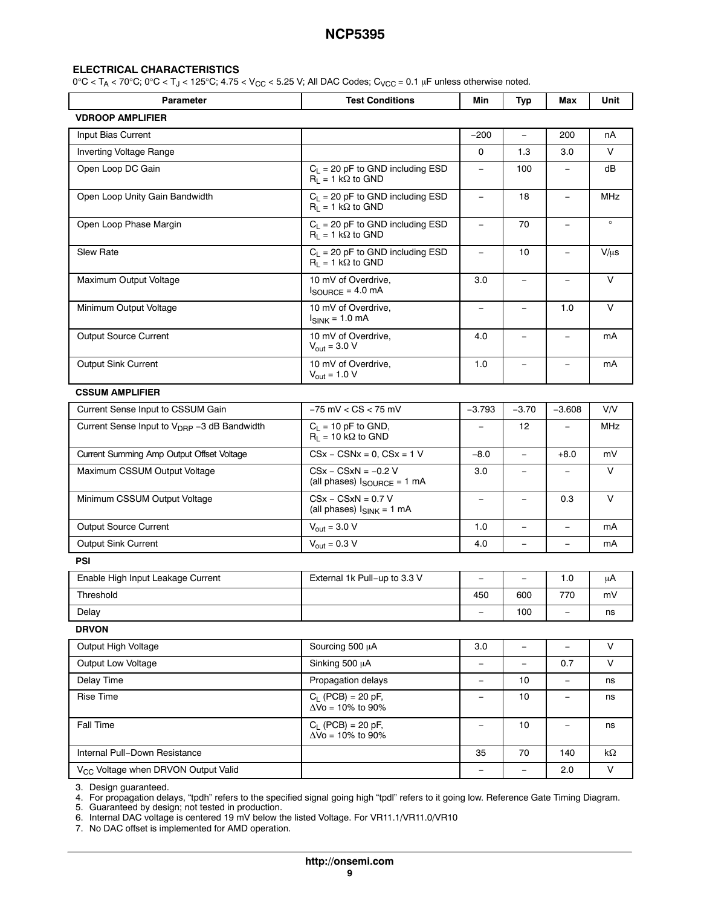┑

#### **ELECTRICAL CHARACTERISTICS**

 $\mathbf{r}$ 

 $0^{\circ}C < T_A < 70^{\circ}C$ ;  $0^{\circ}C < T_J < 125^{\circ}C$ ;  $4.75 < V_{CC} < 5.25$  V; All DAC Codes;  $C_{VCC} = 0.1$  µF unless otherwise noted.

| <b>Parameter</b>                                        | <b>Test Conditions</b>                                                   | Min                      | Typ                      | Max                      | Unit               |
|---------------------------------------------------------|--------------------------------------------------------------------------|--------------------------|--------------------------|--------------------------|--------------------|
| <b>VDROOP AMPLIFIER</b>                                 |                                                                          |                          |                          |                          |                    |
| Input Bias Current                                      |                                                                          | $-200$                   | $\overline{\phantom{a}}$ | 200                      | пA                 |
| Inverting Voltage Range                                 |                                                                          | 0                        | 1.3                      | 3.0                      | V                  |
| Open Loop DC Gain                                       | $C_L$ = 20 pF to GND including ESD<br>$R_1 = 1 k\Omega$ to GND           | $\overline{\phantom{a}}$ | 100                      | $\overline{\phantom{m}}$ | dB                 |
| Open Loop Unity Gain Bandwidth                          | $C_L$ = 20 pF to GND including ESD<br>$R_1 = 1 k\Omega$ to GND           | $\equiv$                 | 18                       | $\equiv$                 | MHz                |
| Open Loop Phase Margin                                  | $C_L$ = 20 pF to GND including ESD<br>$R_1 = 1 k\Omega$ to GND           | $\overline{\phantom{m}}$ | 70                       | $\qquad \qquad -$        | $\circ$            |
| <b>Slew Rate</b>                                        | $C_L$ = 20 pF to GND including ESD<br>$R_1 = 1 k\Omega$ to GND           | $\equiv$                 | 10                       | ÷,                       | $V/\mu s$          |
| Maximum Output Voltage                                  | 10 mV of Overdrive,<br>$I_{\text{SOURCE}} = 4.0 \text{ mA}$              | 3.0                      | $\equiv$                 | L,                       | $\vee$             |
| Minimum Output Voltage                                  | 10 mV of Overdrive,<br>$I_{SINK}$ = 1.0 mA                               | $\equiv$                 | $\overline{\phantom{0}}$ | 1.0                      | $\vee$             |
| Output Source Current                                   | 10 mV of Overdrive,<br>$V_{\text{out}} = 3.0 V$                          | 4.0                      |                          |                          | mA                 |
| Output Sink Current                                     | 10 mV of Overdrive,<br>$V_{\text{out}} = 1.0 V$                          | 1.0                      |                          |                          | mA                 |
| <b>CSSUM AMPLIFIER</b>                                  |                                                                          |                          |                          |                          |                    |
| Current Sense Input to CSSUM Gain                       | $-75$ mV $<$ CS $<$ 75 mV                                                | $-3.793$                 | $-3.70$                  | $-3.608$                 | V/V                |
| Current Sense Input to V <sub>DRP</sub> -3 dB Bandwidth | $C_L = 10$ pF to GND,<br>$R_L$ = 10 k $\Omega$ to GND                    | $\equiv$                 | 12                       |                          | <b>MHz</b>         |
| Current Summing Amp Output Offset Voltage               | $CSx - CSNx = 0$ , $CSx = 1$ V                                           | $-8.0$                   | $\equiv$                 | $+8.0$                   | mV                 |
| Maximum CSSUM Output Voltage                            | $CSx - CSxN = -0.2 V$<br>(all phases) $I_{\text{SOURCE}} = 1 \text{ mA}$ | 3.0                      | $\overline{\phantom{a}}$ |                          | V                  |
| Minimum CSSUM Output Voltage                            | $CSx - CSxN = 0.7 V$<br>(all phases) $I_{SINK} = 1$ mA                   | $\overline{\phantom{a}}$ | $\equiv$                 | 0.3                      | $\vee$             |
| Output Source Current                                   | $V_{\text{out}} = 3.0 V$                                                 | 1.0                      | $\equiv$                 | $\equiv$                 | mA                 |
| <b>Output Sink Current</b>                              | $V_{\text{out}} = 0.3 V$                                                 | 4.0                      |                          |                          | mA                 |
| <b>PSI</b>                                              |                                                                          |                          |                          |                          |                    |
| Enable High Input Leakage Current                       | External 1k Pull-up to 3.3 V                                             | $\equiv$                 | $\qquad \qquad -$        | 1.0                      | μA                 |
| Threshold                                               |                                                                          | 450                      | 600                      | 770                      | mV                 |
| Delay                                                   |                                                                          |                          | 100                      |                          | ns                 |
| <b>DRVON</b>                                            |                                                                          |                          |                          |                          |                    |
| Output High Voltage                                     | Sourcing 500 µA                                                          | 3.0                      | $\overline{\phantom{a}}$ |                          | $\vee$             |
| Output Low Voltage                                      | Sinking 500 µA                                                           | $\equiv$                 | $\overline{\phantom{0}}$ | 0.7                      | V                  |
| Delay Time                                              | Propagation delays                                                       | $\overline{\phantom{m}}$ | 10                       |                          | ns                 |
| Rise Time                                               | $C_L$ (PCB) = 20 pF,<br>$\Delta\overline{V}$ o = 10% to 90%              | $\qquad \qquad -$        | 10                       | $\qquad \qquad -$        | ns                 |
| <b>Fall Time</b>                                        | $C_L$ (PCB) = 20 pF,<br>$\Delta$ Vo = 10% to 90%                         | $\overline{\phantom{a}}$ | 10                       | $\overline{\phantom{a}}$ | ns                 |
| Internal Pull-Down Resistance                           |                                                                          | 35                       | 70                       | 140                      | $\mathsf{k}\Omega$ |
| V <sub>CC</sub> Voltage when DRVON Output Valid         |                                                                          |                          |                          | 2.0                      | V                  |
|                                                         |                                                                          |                          |                          |                          |                    |

[3.](#page-13-0) Design guaranteed.

[4.](#page-13-0) For propagation delays, "tpdh" refers to the specified signal going high "tpdl" refers to it going low. Reference Gate Timing Diagram.

[5.](#page-13-0) Guaranteed by design; not tested in production.

[6.](#page-13-0) Internal DAC voltage is centered 19 mV below the listed Voltage. For VR11.1/VR11.0/VR10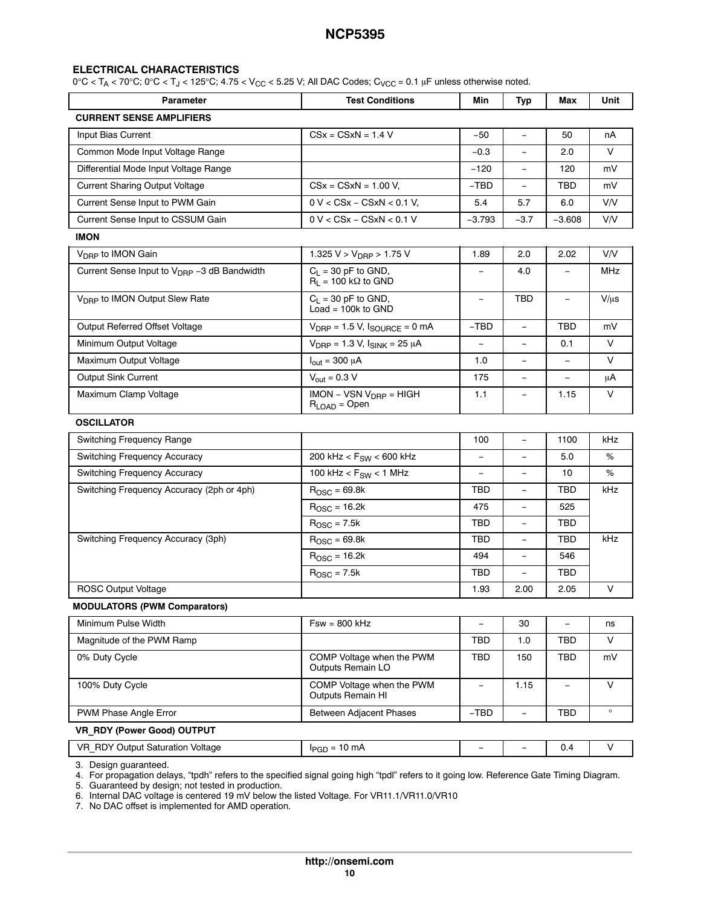#### **ELECTRICAL CHARACTERISTICS**

 $0^{\circ}$ C < T<sub>A</sub> < 70 $^{\circ}$ C; 0 $^{\circ}$ C < T<sub>J</sub> < 125 $^{\circ}$ C; 4.75 < V<sub>CC</sub> < 5.25 V; All DAC Codes; C<sub>VCC</sub> = 0.1 µF unless otherwise noted.

|                                                                |                          |                          |                          | Unit       |
|----------------------------------------------------------------|--------------------------|--------------------------|--------------------------|------------|
|                                                                |                          |                          |                          |            |
| $CSx = CSxN = 1.4 V$                                           | -50                      | $\overline{\phantom{m}}$ | 50                       | nA         |
|                                                                | $-0.3$                   |                          | 2.0                      | $\vee$     |
|                                                                | $-120$                   | $\overline{\phantom{a}}$ | 120                      | mV         |
| $CSx = CSxN = 1.00 V,$                                         | $-TBD$                   |                          | TBD                      | mV         |
| $0 V < C S x - C S x N < 0.1 V,$                               | 5.4                      | 5.7                      | 6.0                      | V/V        |
| $0 V < C S x - C S x N < 0.1 V$                                | $-3.793$                 | $-3.7$                   | $-3.608$                 | V/V        |
|                                                                |                          |                          |                          |            |
| 1.325 $V > V_{DRP} > 1.75 V$                                   | 1.89                     | 2.0                      | 2.02                     | <b>V/V</b> |
| $C_1 = 30$ pF to GND,<br>$R_1 = 100 k\Omega$ to GND            |                          | 4.0                      |                          | MHz        |
| $C_L$ = 30 pF to GND,<br>Load = $100k$ to GND                  | $\overline{\phantom{m}}$ | TBD                      | $\overline{\phantom{a}}$ | $V/\mu s$  |
| $V_{\text{DRP}} = 1.5 V$ , $I_{\text{SOURCE}} = 0 \text{ mA}$  | $-TBD$                   | $\overline{\phantom{a}}$ | TBD                      | mV         |
| $V_{\text{DRP}} = 1.3 V, I_{\text{SINK}} = 25 \mu A$           |                          |                          | 0.1                      | V          |
| $I_{\text{out}} = 300 \mu A$                                   | 1.0                      | -                        |                          | V          |
| $V_{\text{out}} = 0.3 V$                                       | 175                      |                          |                          | μA         |
| $IMON - VSN V_{DRP} = HIGH$<br>$R_{\text{LOAD}} = \text{Open}$ | 1.1                      | $\overline{\phantom{m}}$ | 1.15                     | V          |
|                                                                |                          |                          |                          |            |
|                                                                | 100                      |                          | 1100                     | kHz        |
| 200 kHz < $F_{SW}$ < 600 kHz                                   | $\qquad \qquad -$        | $\overline{\phantom{0}}$ | 5.0                      | %          |
| 100 kHz < $F_{SW}$ < 1 MHz                                     | $\equiv$                 | $\overline{\phantom{0}}$ | 10                       | $\%$       |
| $R_{\text{OSC}} = 69.8k$                                       | TBD                      | $\overline{\phantom{0}}$ | TBD                      | kHz        |
| $R_{\text{OSC}}$ = 16.2k                                       | 475                      | ÷,                       | 525                      |            |
| $ROSC = 7.5k$                                                  | TBD                      | $\overline{\phantom{0}}$ | TBD                      |            |
| $ROSC = 69.8k$                                                 | TBD                      | $\overline{\phantom{m}}$ | TBD                      | kHz        |
| $R_{\text{OSC}} = 16.2k$                                       | 494                      | $\overline{\phantom{0}}$ | 546                      |            |
| $ROSC = 7.5k$                                                  | TBD                      |                          | TBD                      |            |
|                                                                | 1.93                     | 2.00                     | 2.05                     | V          |
|                                                                |                          |                          |                          |            |
| $Fsw = 800$ kHz                                                |                          | 30                       | $\equiv$                 | ns         |
|                                                                | TBD                      | 1.0                      | <b>TBD</b>               | V          |
| COMP Voltage when the PWM<br>Outputs Remain LO                 | TBD                      | 150                      | TBD                      | mV         |
| COMP Voltage when the PWM<br>Outputs Remain HI                 | $\qquad \qquad -$        | 1.15                     | $\overline{\phantom{0}}$ | V          |
| <b>Between Adjacent Phases</b>                                 | $-TBD$                   | $\equiv$                 | <b>TBD</b>               | $\circ$    |
|                                                                |                          |                          |                          |            |
| $I_{PGD} = 10$ mA                                              |                          |                          | 0.4                      | V          |
|                                                                | <b>Test Conditions</b>   | Min                      | Typ                      | Max        |

[3.](#page-13-0) Design guaranteed.

[4.](#page-13-0) For propagation delays, "tpdh" refers to the specified signal going high "tpdl" refers to it going low. Reference Gate Timing Diagram.

[5.](#page-13-0) Guaranteed by design; not tested in production.

[6.](#page-13-0) Internal DAC voltage is centered 19 mV below the listed Voltage. For VR11.1/VR11.0/VR10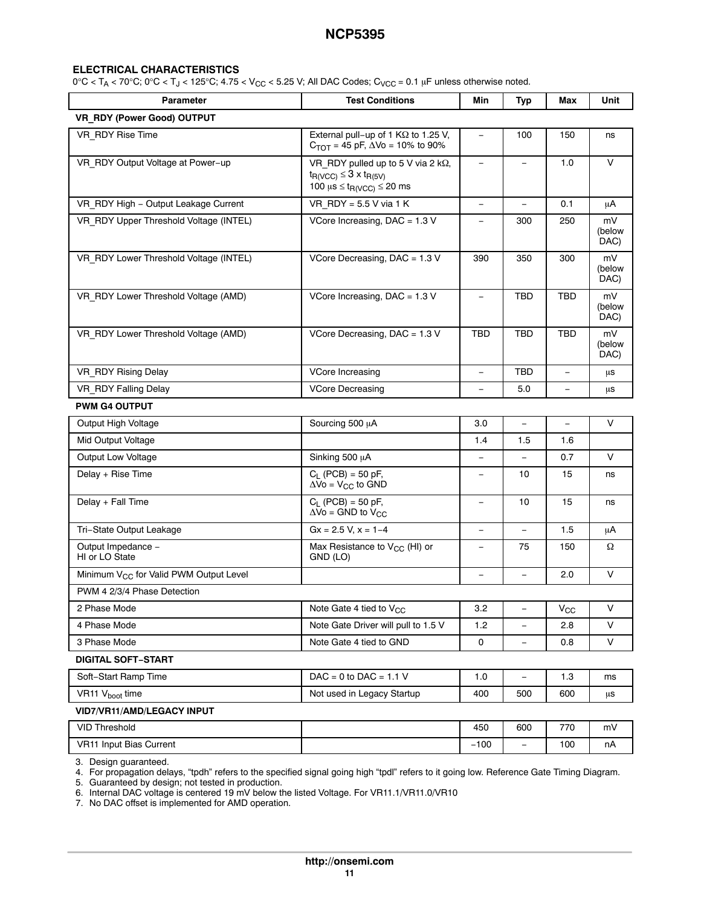#### **ELECTRICAL CHARACTERISTICS**

 $0^{\circ}$ C < T<sub>A</sub> < 70 $^{\circ}$ C;  $0^{\circ}$ C < T<sub>J</sub> < 125 $^{\circ}$ C; 4.75 < V<sub>CC</sub> < 5.25 V; All DAC Codes; C<sub>VCC</sub> = 0.1 µF unless otherwise noted.

| <b>Parameter</b>                                   | <b>Test Conditions</b>                                                                                                                   | Min                      | Typ                      | Max        | Unit                 |
|----------------------------------------------------|------------------------------------------------------------------------------------------------------------------------------------------|--------------------------|--------------------------|------------|----------------------|
| VR RDY (Power Good) OUTPUT                         |                                                                                                                                          |                          |                          |            |                      |
| VR RDY Rise Time                                   | External pull-up of 1 $K\Omega$ to 1.25 V,<br>$C_{TOT}$ = 45 pF, $\Delta \text{Vo}$ = 10% to 90%                                         | $\overline{\phantom{a}}$ | 100                      | 150        | ns                   |
| VR RDY Output Voltage at Power-up                  | VR RDY pulled up to 5 V via 2 $k\Omega$ ,<br>$t_{R(VCC)} \leq 3 \times t_{R(5V)}$<br>100 $\mu$ s $\leq$ t <sub>R(VCC)</sub> $\leq$ 20 ms | $\equiv$                 | $\equiv$                 | 1.0        | $\vee$               |
| VR RDY High - Output Leakage Current               | VR $RDY = 5.5 V$ via 1 K                                                                                                                 | $\equiv$                 | $\overline{\phantom{0}}$ | 0.1        | μA                   |
| VR RDY Upper Threshold Voltage (INTEL)             | VCore Increasing, DAC = $1.3$ V                                                                                                          | $\qquad \qquad -$        | 300                      | 250        | mV<br>(below<br>DAC) |
| VR_RDY Lower Threshold Voltage (INTEL)             | VCore Decreasing, DAC = $1.3$ V                                                                                                          | 390                      | 350                      | 300        | mV<br>(below<br>DAC) |
| VR_RDY Lower Threshold Voltage (AMD)               | VCore Increasing, DAC = 1.3 V                                                                                                            | $\overline{\phantom{0}}$ | <b>TBD</b>               | <b>TBD</b> | mV<br>(below<br>DAC) |
| VR RDY Lower Threshold Voltage (AMD)               | VCore Decreasing, DAC = $1.3$ V                                                                                                          | <b>TBD</b>               | <b>TBD</b>               | <b>TBD</b> | mV<br>(below<br>DAC) |
| VR RDY Rising Delay                                | VCore Increasing                                                                                                                         | $\equiv$                 | <b>TBD</b>               | Ξ.         | μs                   |
| VR RDY Falling Delay                               | <b>VCore Decreasing</b>                                                                                                                  | $\qquad \qquad -$        | 5.0                      | Ξ.         | μs                   |
| <b>PWM G4 OUTPUT</b>                               |                                                                                                                                          |                          |                          |            |                      |
| Output High Voltage                                | Sourcing 500 µA                                                                                                                          | 3.0                      | $\equiv$                 | $\equiv$   | $\vee$               |
| Mid Output Voltage                                 |                                                                                                                                          | 1.4                      | 1.5                      | 1.6        |                      |
| <b>Output Low Voltage</b>                          | Sinking 500 µA                                                                                                                           | $\equiv$                 | $\equiv$                 | 0.7        | V                    |
| Delay + Rise Time                                  | $C_L$ (PCB) = 50 pF,<br>$\Delta \overline{V}$ o = $V_{CC}$ to GND                                                                        |                          | 10                       | 15         | ns                   |
| Delay + Fall Time                                  | $C_L$ (PCB) = 50 pF,<br>$\Delta$ Vo = GND to V <sub>CC</sub>                                                                             | $\equiv$                 | 10                       | 15         | ns                   |
| Tri-State Output Leakage                           | $Gx = 2.5 V, x = 1-4$                                                                                                                    | $\overline{\phantom{0}}$ |                          | 1.5        | μA                   |
| Output Impedance -<br>HI or LO State               | Max Resistance to V <sub>CC</sub> (HI) or<br>GND (LO)                                                                                    | $\equiv$                 | 75                       | 150        | Ω                    |
| Minimum V <sub>CC</sub> for Valid PWM Output Level |                                                                                                                                          | $\equiv$                 | $\qquad \qquad -$        | 2.0        | $\vee$               |
| PWM 4 2/3/4 Phase Detection                        |                                                                                                                                          |                          |                          |            |                      |
| 2 Phase Mode                                       | Note Gate 4 tied to $V_{CC}$                                                                                                             | 3.2                      | $-$                      | $V_{CC}$   | V                    |
| 4 Phase Mode                                       | Note Gate Driver will pull to 1.5 V                                                                                                      | 1.2                      |                          | 2.8        | V                    |
| 3 Phase Mode                                       | Note Gate 4 tied to GND                                                                                                                  | 0                        | $\qquad \qquad -$        | 0.8        | V                    |
| <b>DIGITAL SOFT-START</b>                          |                                                                                                                                          |                          |                          |            |                      |
| Soft-Start Ramp Time                               | $DAC = 0$ to $DAC = 1.1$ V                                                                                                               | 1.0                      | ÷                        | 1.3        | ms                   |
| VR11 V <sub>boot</sub> time                        | Not used in Legacy Startup                                                                                                               | 400                      | 500                      | 600        | μs                   |
| VID7/VR11/AMD/LEGACY INPUT                         |                                                                                                                                          |                          |                          |            |                      |
| <b>VID Threshold</b>                               |                                                                                                                                          | 450                      | 600                      | 770        | mV                   |
| VR11 Input Bias Current                            |                                                                                                                                          | $-100$                   | $\overline{\phantom{a}}$ | 100        | nA                   |

[3.](#page-13-0) Design guaranteed.

[4.](#page-13-0) For propagation delays, "tpdh" refers to the specified signal going high "tpdl" refers to it going low. Reference Gate Timing Diagram.

[5.](#page-13-0) Guaranteed by design; not tested in production.

[6.](#page-13-0) Internal DAC voltage is centered 19 mV below the listed Voltage. For VR11.1/VR11.0/VR10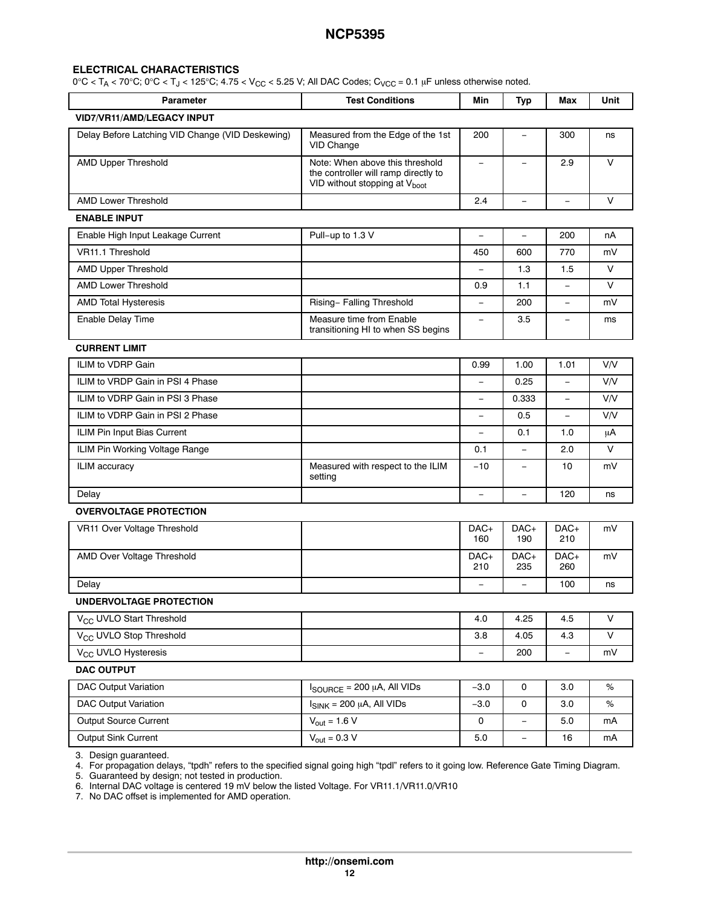#### **ELECTRICAL CHARACTERISTICS**

 $0^{\circ}$ C < T<sub>A</sub> < 70°C; 0°C < T<sub>J</sub> < 125°C; 4.75 < V<sub>CC</sub> < 5.25 V; All DAC Codes; C<sub>VCC</sub> = 0.1 µF unless otherwise noted.

| <b>Parameter</b>                                 | <b>Test Conditions</b>                                                                                               | Min                      | <b>Typ</b>               | Max                      | Unit       |
|--------------------------------------------------|----------------------------------------------------------------------------------------------------------------------|--------------------------|--------------------------|--------------------------|------------|
| <b>VID7/VR11/AMD/LEGACY INPUT</b>                |                                                                                                                      |                          |                          |                          |            |
| Delay Before Latching VID Change (VID Deskewing) | Measured from the Edge of the 1st<br>VID Change                                                                      | 200                      | $\qquad \qquad -$        | 300                      | ns         |
| <b>AMD Upper Threshold</b>                       | Note: When above this threshold<br>the controller will ramp directly to<br>VID without stopping at V <sub>boot</sub> | $\qquad \qquad -$        |                          | 2.9                      | V          |
| <b>AMD Lower Threshold</b>                       |                                                                                                                      | 2.4                      | $\qquad \qquad -$        | $\equiv$                 | $\vee$     |
| <b>ENABLE INPUT</b>                              |                                                                                                                      |                          |                          |                          |            |
| Enable High Input Leakage Current                | Pull-up to 1.3 V                                                                                                     | $\equiv$                 | $\qquad \qquad -$        | 200                      | nA         |
| VR11.1 Threshold                                 |                                                                                                                      | 450                      | 600                      | 770                      | mV         |
| <b>AMD Upper Threshold</b>                       |                                                                                                                      | $\equiv$                 | 1.3                      | 1.5                      | $\vee$     |
| <b>AMD Lower Threshold</b>                       |                                                                                                                      | 0.9                      | 1.1                      |                          | V          |
| <b>AMD Total Hysteresis</b>                      | Rising-Falling Threshold                                                                                             | $\equiv$                 | 200                      | $\equiv$                 | mV         |
| <b>Enable Delay Time</b>                         | Measure time from Enable<br>transitioning HI to when SS begins                                                       | $\equiv$                 | 3.5                      |                          | ms         |
| <b>CURRENT LIMIT</b>                             |                                                                                                                      |                          |                          |                          |            |
| ILIM to VDRP Gain                                |                                                                                                                      | 0.99                     | 1.00                     | 1.01                     | <b>V/V</b> |
| ILIM to VRDP Gain in PSI 4 Phase                 |                                                                                                                      |                          | 0.25                     |                          | <b>V/V</b> |
| ILIM to VDRP Gain in PSI 3 Phase                 |                                                                                                                      | $\equiv$                 | 0.333                    | $\overline{\phantom{m}}$ | V/V        |
| ILIM to VDRP Gain in PSI 2 Phase                 |                                                                                                                      |                          | 0.5                      |                          | <b>VN</b>  |
| ILIM Pin Input Bias Current                      |                                                                                                                      | $\qquad \qquad -$        | 0.1                      | 1.0                      | μA         |
| ILIM Pin Working Voltage Range                   |                                                                                                                      | 0.1                      | $\overline{\phantom{0}}$ | 2.0                      | V          |
| ILIM accuracy                                    | Measured with respect to the ILIM<br>setting                                                                         | $-10$                    | $\overline{\phantom{0}}$ | 10                       | mV         |
| Delay                                            |                                                                                                                      | $\overline{\phantom{a}}$ | $\equiv$                 | 120                      | ns         |
| <b>OVERVOLTAGE PROTECTION</b>                    |                                                                                                                      |                          |                          |                          |            |
| VR11 Over Voltage Threshold                      |                                                                                                                      | DAC+<br>160              | DAC+<br>190              | DAC+<br>210              | mV         |
| AMD Over Voltage Threshold                       |                                                                                                                      | DAC+<br>210              | $DAC+$<br>235            | DAC+<br>260              | mV         |
| Delay                                            |                                                                                                                      | $\equiv$                 | $\equiv$                 | 100                      | ns         |
| UNDERVOLTAGE PROTECTION                          |                                                                                                                      |                          |                          |                          |            |
| V <sub>CC</sub> UVLO Start Threshold             |                                                                                                                      | 4.0                      | 4.25                     | 4.5                      | V          |
| V <sub>CC</sub> UVLO Stop Threshold              |                                                                                                                      | 3.8                      | 4.05                     | 4.3                      | V          |
| V <sub>CC</sub> UVLO Hysteresis                  |                                                                                                                      | $\qquad \qquad -$        | 200                      | $\overline{\phantom{a}}$ | mV         |
| <b>DAC OUTPUT</b>                                |                                                                                                                      |                          |                          |                          |            |
| <b>DAC Output Variation</b>                      | $I_{\text{SOURCE}}$ = 200 µA, All VIDs                                                                               | $-3.0$                   | 0                        | 3.0                      | $\%$       |
| <b>DAC Output Variation</b>                      | $I_{SINK}$ = 200 µA, All VIDs                                                                                        | $-3.0$                   | 0                        | 3.0                      | %          |
| Output Source Current                            | $V_{\text{out}} = 1.6 \overline{V}$                                                                                  | 0                        | $\qquad \qquad -$        | 5.0                      | mA         |
| Output Sink Current                              | $V_{\text{out}} = 0.3 \overline{V}$                                                                                  | 5.0                      | $\overline{\phantom{0}}$ | 16                       | mA         |
| 3 Decian augmenteed                              |                                                                                                                      |                          |                          |                          |            |

[3.](#page-13-0) Design guaranteed.

[4.](#page-13-0) For propagation delays, "tpdh" refers to the specified signal going high "tpdl" refers to it going low. Reference Gate Timing Diagram.

[5.](#page-13-0) Guaranteed by design; not tested in production.

[6.](#page-13-0) Internal DAC voltage is centered 19 mV below the listed Voltage. For VR11.1/VR11.0/VR10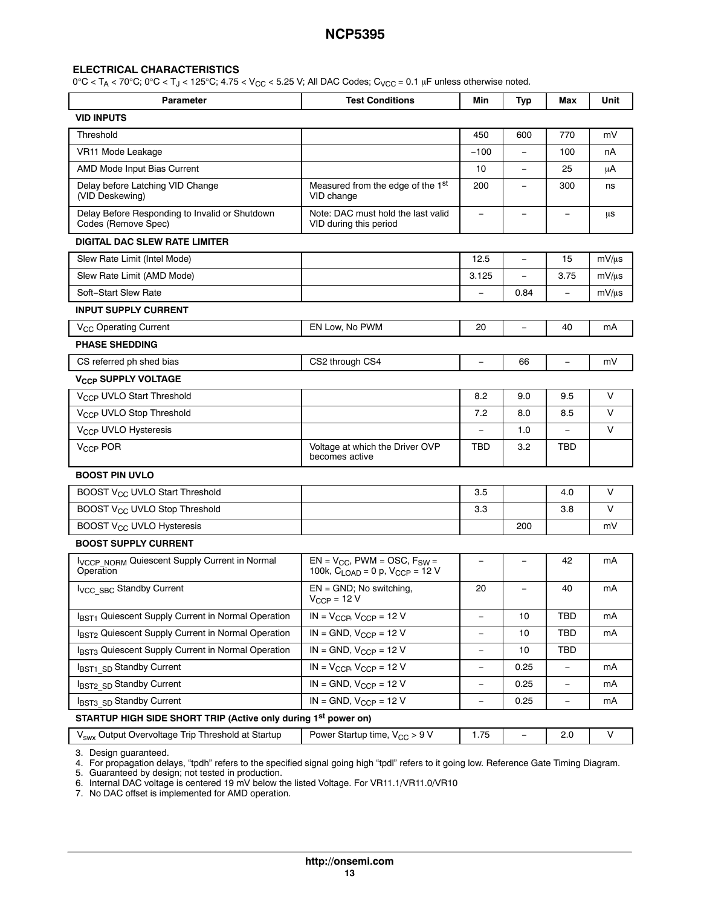#### **ELECTRICAL CHARACTERISTICS**

 $0^{\circ}$ C < T<sub>A</sub> < 70 $^{\circ}$ C;  $0^{\circ}$ C < T<sub>J</sub> < 125 $^{\circ}$ C; 4.75 < V<sub>CC</sub> < 5.25 V; All DAC Codes; C<sub>VCC</sub> = 0.1 µF unless otherwise noted.

| <b>Parameter</b>                                                           | <b>Test Conditions</b>                                                            | Min                      | <b>Typ</b>               | Max                      | Unit       |
|----------------------------------------------------------------------------|-----------------------------------------------------------------------------------|--------------------------|--------------------------|--------------------------|------------|
| <b>VID INPUTS</b>                                                          |                                                                                   |                          |                          |                          |            |
| Threshold                                                                  |                                                                                   | 450                      | 600                      | 770                      | mV         |
| VR11 Mode Leakage                                                          |                                                                                   | $-100$                   | $\equiv$                 | 100                      | nA         |
| AMD Mode Input Bias Current                                                |                                                                                   | 10                       |                          | 25                       | μA         |
| Delay before Latching VID Change<br>(VID Deskewing)                        | Measured from the edge of the 1st<br>VID change                                   | 200                      | $\overline{\phantom{0}}$ | 300                      | ns         |
| Delay Before Responding to Invalid or Shutdown<br>Codes (Remove Spec)      | Note: DAC must hold the last valid<br>VID during this period                      | $\overline{\phantom{a}}$ | $\qquad \qquad -$        | $\overline{\phantom{a}}$ | μs         |
| <b>DIGITAL DAC SLEW RATE LIMITER</b>                                       |                                                                                   |                          |                          |                          |            |
| Slew Rate Limit (Intel Mode)                                               |                                                                                   | 12.5                     | $\equiv$                 | 15                       | $mV/\mu s$ |
| Slew Rate Limit (AMD Mode)                                                 |                                                                                   | 3.125                    | $\equiv$                 | 3.75                     | mV/us      |
| Soft-Start Slew Rate                                                       |                                                                                   | $\overline{\phantom{a}}$ | 0.84                     |                          | $mV/\mu s$ |
| <b>INPUT SUPPLY CURRENT</b>                                                |                                                                                   |                          |                          |                          |            |
| V <sub>CC</sub> Operating Current                                          | EN Low, No PWM                                                                    | 20                       | $\overline{\phantom{0}}$ | 40                       | mA         |
| <b>PHASE SHEDDING</b>                                                      |                                                                                   |                          |                          |                          |            |
| CS referred ph shed bias                                                   | CS2 through CS4                                                                   | $\equiv$                 | 66                       | $\equiv$                 | mV         |
| V <sub>CCP</sub> SUPPLY VOLTAGE                                            |                                                                                   |                          |                          |                          |            |
| V <sub>CCP</sub> UVLO Start Threshold                                      |                                                                                   | 8.2                      | 9.0                      | 9.5                      | V          |
| V <sub>CCP</sub> UVLO Stop Threshold                                       |                                                                                   | 7.2                      | 8.0                      | 8.5                      | $\vee$     |
| V <sub>CCP</sub> UVLO Hysteresis                                           |                                                                                   |                          | 1.0                      |                          | $\vee$     |
| V <sub>CCP</sub> POR                                                       | Voltage at which the Driver OVP<br>becomes active                                 | TBD                      | 3.2                      | TBD                      |            |
| <b>BOOST PIN UVLO</b>                                                      |                                                                                   |                          |                          |                          |            |
| BOOST V <sub>CC</sub> UVLO Start Threshold                                 |                                                                                   | 3.5                      |                          | 4.0                      | V          |
| BOOST V <sub>CC</sub> UVLO Stop Threshold                                  |                                                                                   | 3.3                      |                          | 3.8                      | $\vee$     |
| BOOST V <sub>CC</sub> UVLO Hysteresis                                      |                                                                                   |                          | 200                      |                          | mV         |
| <b>BOOST SUPPLY CURRENT</b>                                                |                                                                                   |                          |                          |                          |            |
| <b>IVCCP NORM Quiescent Supply Current in Normal</b><br>Operation          | $EN = V_{CC}$ , PWM = OSC, $F_{SW}$ =<br>100k, $C_{LOAD} = 0$ p, $V_{CCP} = 12$ V | $\overline{\phantom{0}}$ | $\qquad \qquad -$        | 42                       | mA         |
| <b>I<sub>VCC</sub></b> sBc Standby Current                                 | $EN = GND$ ; No switching,<br>$V_{CCP} = 12 V$                                    | 20                       |                          | 40                       | mA         |
| IBST1 Quiescent Supply Current in Normal Operation                         | $IN = V_{CCP}$ , $V_{CCP} = 12$ V                                                 | $\qquad \qquad -$        | 10                       | <b>TBD</b>               | mA         |
| IBST <sub>2</sub> Quiescent Supply Current in Normal Operation             | $IN = GND$ , $V_{CCP} = 12 V$                                                     | $\qquad \qquad -$        | 10                       | <b>TBD</b>               | mA         |
| IBST3 Quiescent Supply Current in Normal Operation                         | $IN = GND$ , $V_{CCP} = 12V$                                                      | $\overline{\phantom{a}}$ | 10                       | <b>TBD</b>               |            |
| IBST1_SD Standby Current                                                   | $IN = V_{CCP}$ , $V_{CCP} = 12$ V                                                 | $\overline{\phantom{a}}$ | 0.25                     | $\equiv$                 | mA         |
| IBST2 SD Standby Current                                                   | $IN = GND$ , $V_{CCP} = 12 V$                                                     | $\qquad \qquad -$        | 0.25                     |                          | mA         |
| IBST3 SD Standby Current                                                   | IN = GND, $V_{CCP}$ = 12 V                                                        | $\qquad \qquad -$        | 0.25                     | $\overline{\phantom{a}}$ | mA         |
| STARTUP HIGH SIDE SHORT TRIP (Active only during 1 <sup>st</sup> power on) |                                                                                   |                          |                          |                          |            |
| V <sub>swx</sub> Output Overvoltage Trip Threshold at Startup              | Power Startup time, V <sub>CC</sub> > 9 V                                         | 1.75                     | $\overline{\phantom{a}}$ | 2.0                      | V          |

[3.](#page-13-0) Design guaranteed.

[4.](#page-13-0) For propagation delays, "tpdh" refers to the specified signal going high "tpdl" refers to it going low. Reference Gate Timing Diagram.

[5.](#page-13-0) Guaranteed by design; not tested in production.

[6.](#page-13-0) Internal DAC voltage is centered 19 mV below the listed Voltage. For VR11.1/VR11.0/VR10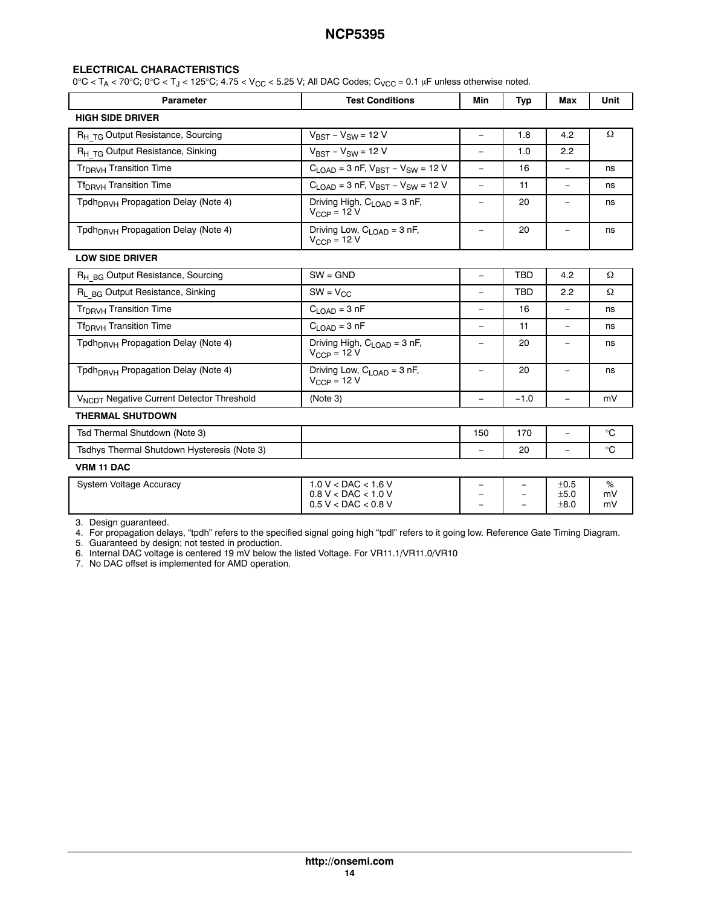### <span id="page-13-0"></span>**ELECTRICAL CHARACTERISTICS**

 $0^{\circ}$ C < T<sub>A</sub> < 70 $^{\circ}$ C;  $0^{\circ}$ C < T<sub>J</sub> < 125 $^{\circ}$ C; 4.75 < V<sub>CC</sub> < 5.25 V; All DAC Codes; C<sub>VCC</sub> = 0.1 µF unless otherwise noted.

| Parameter                                             | <b>Test Conditions</b>                                                        | Min                      | Typ        | Max                      | <b>Unit</b>   |
|-------------------------------------------------------|-------------------------------------------------------------------------------|--------------------------|------------|--------------------------|---------------|
| <b>HIGH SIDE DRIVER</b>                               |                                                                               |                          |            |                          |               |
| R <sub>H TG</sub> Output Resistance, Sourcing         | $V_{BST} - V_{SW} = 12 V$                                                     | $\overline{\phantom{m}}$ | 1.8        | 4.2                      | Ω             |
| R <sub>H TG</sub> Output Resistance, Sinking          | $V_{BST} - V_{SW} = 12 V$                                                     | $\overline{\phantom{m}}$ | 1.0        | 2.2                      |               |
| Tr <sub>DRVH</sub> Transition Time                    | $C_{LOAD} = 3$ nF, $V_{BST} - V_{SW} = 12$ V                                  | $\equiv$                 | 16         | $\equiv$                 | ns            |
| Tf <sub>DBVH</sub> Transition Time                    | $C_{1 \text{ OAD}}$ = 3 nF, $V_{RST}$ – $V_{SW}$ = 12 V                       | $\equiv$                 | 11         | $\equiv$                 | ns            |
| Tpdh <sub>DRVH</sub> Propagation Delay (Note 4)       | Driving High, C <sub>LOAD</sub> = 3 nF,<br>$V_{\text{CCP}} = 12 V$            | $\overline{\phantom{a}}$ | 20         | $\qquad \qquad -$        | ns            |
| Tpdh <sub>DRVH</sub> Propagation Delay (Note 4)       | Driving Low, $C_{\text{LOAD}} = 3$ nF,<br>$V_{CCP} = 12 V$                    | $\overline{\phantom{a}}$ | 20         | $\overline{\phantom{a}}$ | ns            |
| <b>LOW SIDE DRIVER</b>                                |                                                                               |                          |            |                          |               |
| R <sub>H BG</sub> Output Resistance, Sourcing         | $SW = GND$                                                                    | $\equiv$                 | <b>TBD</b> | 4.2                      | Ω             |
| R <sub>L BG</sub> Output Resistance, Sinking          | $SW = V_{CC}$                                                                 | ÷,                       | <b>TBD</b> | 2.2                      | Ω             |
| Tr <sub>DRVH</sub> Transition Time                    | $C1$ $\cap$ AD = 3 nF                                                         | $\equiv$                 | 16         | $\equiv$                 | ns            |
| Tf <sub>DRVH</sub> Transition Time                    | $C_{LOAD} = 3 nF$                                                             | $\equiv$                 | 11         | $\equiv$                 | ns            |
| Tpdh <sub>DBVH</sub> Propagation Delay (Note 4)       | Driving High, $C_{\text{LOAD}} = 3 \text{ nF}$ ,<br>$V_{CCP}$ = 12 V          | $\overline{\phantom{m}}$ | 20         |                          | ns            |
| Tpdh <sub>DRVH</sub> Propagation Delay (Note 4)       | Driving Low, $C_{\text{LOAD}} = 3 \text{ nF}$ ,<br>$V_{CCP} = 12 V$           | $\overline{\phantom{a}}$ | 20         | $\overline{\phantom{a}}$ | ns            |
| V <sub>NCDT</sub> Negative Current Detector Threshold | (Note 3)                                                                      | $\equiv$                 | $-1.0$     | $\equiv$                 | mV            |
| <b>THERMAL SHUTDOWN</b>                               |                                                                               |                          |            |                          |               |
| Tsd Thermal Shutdown (Note 3)                         |                                                                               | 150                      | 170        | $\equiv$                 | $^{\circ}C$   |
| Tsdhys Thermal Shutdown Hysteresis (Note 3)           |                                                                               | $\equiv$                 | 20         | $\equiv$                 | $^{\circ}C$   |
| <b>VRM 11 DAC</b>                                     |                                                                               |                          |            |                          |               |
| System Voltage Accuracy                               | $1.0 V <$ DAC $< 1.6 V$<br>$0.8 V <$ DAC $< 1.0 V$<br>$0.5 V <$ DAC $< 0.8 V$ |                          |            | ±0.5<br>±5.0<br>±8.0     | %<br>mV<br>mV |

3. Design guaranteed.

4. For propagation delays, "tpdh" refers to the specified signal going high "tpdl" refers to it going low. Reference Gate Timing Diagram.

5. Guaranteed by design; not tested in production.

6. Internal DAC voltage is centered 19 mV below the listed Voltage. For VR11.1/VR11.0/VR10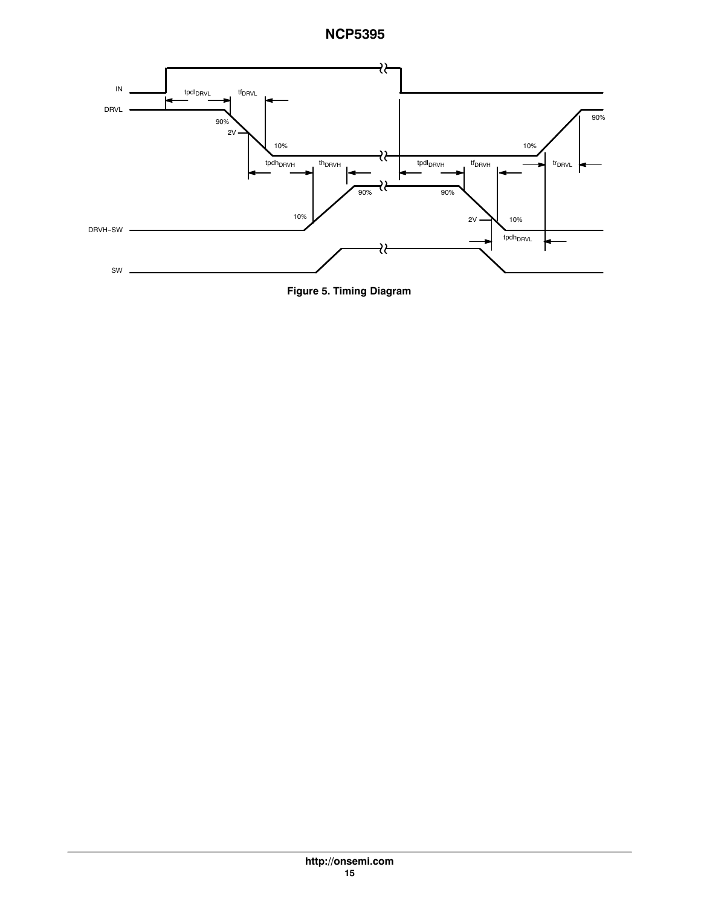

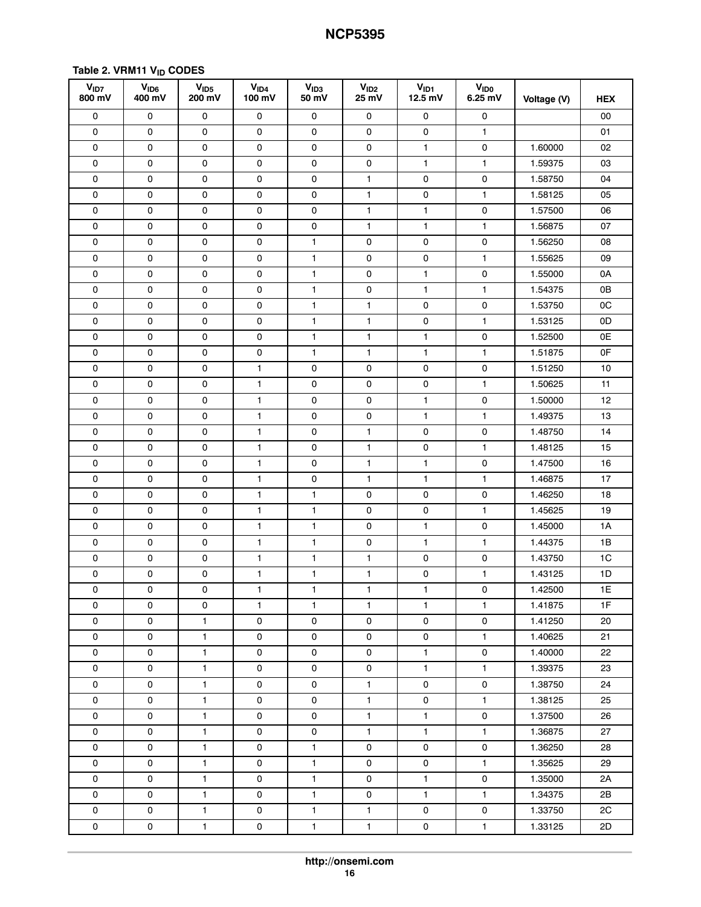# <span id="page-15-0"></span>Table 2. VRM11 V<sub>ID</sub> CODES

| V <sub>1D7</sub><br>800 mV | V <sub>ID6</sub><br>400 mV | V <sub>ID5</sub><br>200 mV | V <sub>ID4</sub><br>100 mV | V <sub>ID3</sub><br>50 mV | V <sub>ID2</sub><br>25 mV | $V_{ID1}$<br>$12.5$ mV | V <sub>ID0</sub><br>$6.25$ mV | Voltage (V) | <b>HEX</b> |
|----------------------------|----------------------------|----------------------------|----------------------------|---------------------------|---------------------------|------------------------|-------------------------------|-------------|------------|
| 0                          | 0                          | 0                          | 0                          | 0                         | 0                         | 0                      | 0                             |             | 00         |
| 0                          | 0                          | 0                          | 0                          | 0                         | 0                         | 0                      | 1                             |             | 01         |
| 0                          | 0                          | 0                          | 0                          | 0                         | 0                         | $\mathbf{1}$           | 0                             | 1.60000     | 02         |
| 0                          | 0                          | 0                          | 0                          | 0                         | $\mathsf{O}\xspace$       | $\mathbf{1}$           | $\mathbf{1}$                  | 1.59375     | 03         |
| 0                          | 0                          | 0                          | 0                          | 0                         | $\mathbf{1}$              | 0                      | 0                             | 1.58750     | 04         |
| 0                          | 0                          | 0                          | 0                          | 0                         | $\mathbf{1}$              | 0                      | 1                             | 1.58125     | 05         |
| 0                          | 0                          | 0                          | 0                          | 0                         | $\mathbf{1}$              | $\mathbf{1}$           | 0                             | 1.57500     | 06         |
| 0                          | 0                          | 0                          | 0                          | 0                         | 1                         | $\mathbf{1}$           | $\mathbf{1}$                  | 1.56875     | 07         |
| 0                          | 0                          | 0                          | 0                          | $\mathbf{1}$              | 0                         | $\mathsf 0$            | 0                             | 1.56250     | 08         |
| 0                          | 0                          | 0                          | 0                          | 1                         | 0                         | 0                      | 1                             | 1.55625     | 09         |
| 0                          | 0                          | 0                          | 0                          | $\mathbf{1}$              | 0                         | 1                      | 0                             | 1.55000     | 0A         |
| 0                          | 0                          | 0                          | $\mathsf{O}\xspace$        | $\mathbf{1}$              | $\mathsf{O}\xspace$       | $\mathbf{1}$           | 1                             | 1.54375     | 0B         |
| 0                          | 0                          | 0                          | 0                          | $\mathbf{1}$              | $\mathbf{1}$              | $\mathsf{O}$           | $\mathsf{O}$                  | 1.53750     | 0C         |
| 0                          | 0                          | 0                          | $\mathsf{O}\xspace$        | $\mathbf{1}$              | $\mathbf{1}$              | $\mathsf 0$            | $\mathbf{1}$                  | 1.53125     | 0D         |
| 0                          | 0                          | 0                          | 0                          | $\mathbf{1}$              | 1                         | 1                      | 0                             | 1.52500     | 0E         |
| 0                          | 0                          | 0                          | 0                          | 1                         | 1                         | $\mathbf{1}$           | 1                             | 1.51875     | 0F         |
| 0                          | 0                          | 0                          | 1                          | 0                         | $\mathsf{O}\xspace$       | 0                      | 0                             | 1.51250     | 10         |
| 0                          | 0                          | 0                          | 1                          | 0                         | 0                         | 0                      | 1                             | 1.50625     | 11         |
| 0                          | 0                          | 0                          | 1                          | $\mathsf{O}$              | $\mathsf{O}\xspace$       | $\mathbf{1}$           | 0                             | 1.50000     | 12         |
| 0                          | 0                          | 0                          | 1                          | 0                         | 0                         | $\mathbf{1}$           | 1                             | 1.49375     | 13         |
| 0                          | 0                          | 0                          | $\mathbf{1}$               | 0                         | $\mathbf{1}$              | 0                      | 0                             | 1.48750     | 14         |
| $\mathsf{O}\xspace$        | 0                          | 0                          | 1                          | 0                         | $\mathbf{1}$              | 0                      | 1                             | 1.48125     | 15         |
| 0                          | 0                          | 0                          | 1                          | 0                         | $\mathbf{1}$              | $\mathbf{1}$           | 0                             | 1.47500     | 16         |
| 0                          | 0                          | 0                          | 1                          | $\mathsf 0$               | 1                         | $\mathbf{1}$           | 1                             | 1.46875     | 17         |
| 0                          | 0                          | 0                          | 1                          | 1                         | 0                         | 0                      | 0                             | 1.46250     | 18         |
| 0                          | 0                          | 0                          | 1                          | 1                         | 0                         | $\mathsf{O}\xspace$    | 1                             | 1.45625     | 19         |
| 0                          | 0                          | 0                          | 1                          | $\mathbf{1}$              | 0                         | $\mathbf{1}$           | 0                             | 1.45000     | 1A         |
| 0                          | 0                          | 0                          | 1                          | $\mathbf{1}$              | 0                         | $\mathbf{1}$           | 1                             | 1.44375     | 1B         |
| $\mathsf{O}\xspace$        | 0                          | 0                          | 1                          | $\mathbf{1}$              | 1                         | 0                      | 0                             | 1.43750     | 1C         |
| 0                          | 0                          | 0                          | 1                          | 1                         | 1                         | 0                      | 1                             | 1.43125     | 1D         |
| 0                          | 0                          | 0                          | 1                          | 1                         | 1                         | 1                      | 0                             | 1.42500     | 1E         |
| 0                          | 0                          | 0                          | $\mathbf{1}$               | $\mathbf{1}$              | 1                         | $\mathbf{1}$           | $\mathbf{1}$                  | 1.41875     | 1F         |
| 0                          | 0                          | $\mathbf{1}$               | 0                          | 0                         | 0                         | 0                      | 0                             | 1.41250     | 20         |
| $\mathsf{O}\xspace$        | 0                          | $\mathbf{1}$               | 0                          | 0                         | 0                         | $\mathsf{O}$           | $\mathbf{1}$                  | 1.40625     | 21         |
| 0                          | 0                          | $\mathbf{1}$               | 0                          | 0                         | $\mathbf 0$               | $\mathbf{1}$           | $\mathsf{o}$                  | 1.40000     | 22         |
| 0                          | 0                          | $\mathbf{1}$               | 0                          | 0                         | 0                         | $\mathbf{1}$           | $\mathbf{1}$                  | 1.39375     | 23         |
| 0                          | 0                          | $\mathbf{1}$               | 0                          | 0                         | $\mathbf{1}$              | 0                      | 0                             | 1.38750     | 24         |
| 0                          | 0                          | $\mathbf{1}$               | 0                          | 0                         | $\mathbf{1}$              | $\mathsf{O}$           | $\mathbf{1}$                  | 1.38125     | 25         |
| $\mathsf{O}\xspace$        | 0                          | $\mathbf{1}$               | 0                          | 0                         | $\mathbf{1}$              | $\mathbf{1}$           | $\mathsf{o}\,$                | 1.37500     | 26         |
| 0                          | 0                          | $\mathbf{1}$               | 0                          | 0                         | $\mathbf{1}$              | $\mathbf{1}$           | $\mathbf{1}$                  | 1.36875     | 27         |
| 0                          | 0                          | $\mathbf{1}$               | 0                          | $\mathbf{1}$              | 0                         | 0                      | $\mathsf{O}$                  | 1.36250     | 28         |
| 0                          | 0                          | $\mathbf{1}$               | 0                          | $\mathbf{1}$              | 0                         | $\mathsf{o}$           | $\mathbf{1}$                  | 1.35625     | 29         |
| 0                          | 0                          | $\mathbf{1}$               | 0                          | $\mathbf{1}$              | $\mathsf{O}$              | $\mathbf{1}$           | 0                             | 1.35000     | 2A         |
| 0                          | 0                          | $\mathbf{1}$               | 0                          | $\mathbf{1}$              | 0                         | $\mathbf{1}$           | $\mathbf{1}$                  | 1.34375     | 2B         |
| 0                          | $\mathsf{O}$               | $\mathbf{1}$               | 0                          | $\mathbf{1}$              | $\mathbf{1}$              | 0                      | 0                             | 1.33750     | 2C         |
| 0                          | $\mathsf{O}$               | $\mathbf{1}$               | 0                          | $\mathbf{1}$              | $\mathbf{1}$              | 0                      | $\mathbf{1}$                  | 1.33125     | 2D         |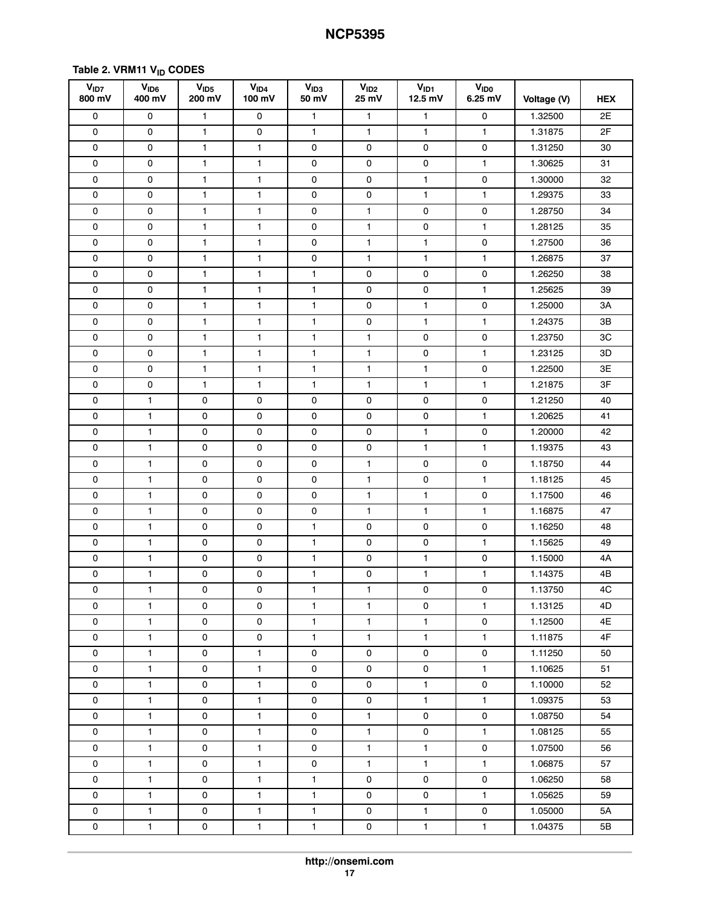# **Table [2](#page-15-0). VRM11 VID CODES**

| V <sub>1D7</sub><br>800 mV | V <sub>ID6</sub><br>400 mV | V <sub>ID5</sub><br>200 mV | V <sub>ID4</sub><br>100 mV | V <sub>ID3</sub><br>50 mV | V <sub>ID2</sub><br>25 mV | V <sub>ID1</sub><br>$12.5$ mV | <b>VIDO</b><br>$6.25$ mV | Voltage (V) | <b>HEX</b> |
|----------------------------|----------------------------|----------------------------|----------------------------|---------------------------|---------------------------|-------------------------------|--------------------------|-------------|------------|
| $\mathsf{O}\xspace$        | 0                          | 1                          | $\mathsf{O}\xspace$        | $\mathbf{1}$              | $\mathbf{1}$              | $\mathbf{1}$                  | 0                        | 1.32500     | 2E         |
| 0                          | 0                          | $\mathbf{1}$               | 0                          | $\mathbf{1}$              | $\mathbf{1}$              | $\mathbf{1}$                  | $\mathbf{1}$             | 1.31875     | 2F         |
| 0                          | 0                          | 1                          | 1                          | 0                         | 0                         | 0                             | 0                        | 1.31250     | 30         |
| 0                          | 0                          | 1                          | 1                          | 0                         | 0                         | 0                             | $\mathbf{1}$             | 1.30625     | 31         |
| 0                          | 0                          | 1                          | 1                          | 0                         | 0                         | $\mathbf{1}$                  | 0                        | 1.30000     | 32         |
| 0                          | 0                          | 1                          | $\mathbf{1}$               | $\mathsf 0$               | $\mathsf{O}\xspace$       | $\mathbf{1}$                  | $\mathbf{1}$             | 1.29375     | 33         |
| 0                          | 0                          | $\mathbf{1}$               | 1                          | 0                         | $\mathbf{1}$              | 0                             | 0                        | 1.28750     | 34         |
| 0                          | 0                          | $\mathbf{1}$               | $\mathbf{1}$               | 0                         | $\mathbf{1}$              | 0                             | $\mathbf{1}$             | 1.28125     | 35         |
| 0                          | 0                          | 1                          | 1                          | 0                         | $\mathbf{1}$              | $\mathbf{1}$                  | 0                        | 1.27500     | 36         |
| 0                          | 0                          | 1                          | 1                          | 0                         | $\mathbf{1}$              | $\mathbf{1}$                  | 1                        | 1.26875     | 37         |
| 0                          | 0                          | 1                          | 1                          | $\mathbf{1}$              | $\mathsf{O}\xspace$       | 0                             | $\mathsf 0$              | 1.26250     | 38         |
| 0                          | 0                          | 1                          | 1                          | 1                         | 0                         | 0                             | $\mathbf{1}$             | 1.25625     | 39         |
| 0                          | 0                          | 1                          | 1                          | $\mathbf{1}$              | 0                         | $\mathbf{1}$                  | 0                        | 1.25000     | ЗΑ         |
| 0                          | 0                          | $\mathbf{1}$               | 1                          | 1                         | 0                         | $\mathbf{1}$                  | $\mathbf{1}$             | 1.24375     | ЗB         |
| 0                          | 0                          | $\mathbf{1}$               | 1                          | $\mathbf{1}$              | $\mathbf{1}$              | 0                             | 0                        | 1.23750     | 3C         |
| 0                          | 0                          | 1                          | 1                          | $\mathbf{1}$              | 1                         | 0                             | 1                        | 1.23125     | 3D         |
| 0                          | 0                          | $\mathbf{1}$               | 1                          | $\mathbf{1}$              | $\mathbf{1}$              | $\mathbf{1}$                  | 0                        | 1.22500     | ЗE         |
| 0                          | 0                          | $\mathbf{1}$               | 1                          | $\mathbf{1}$              | $\mathbf{1}$              | $\mathbf{1}$                  | $\mathbf{1}$             | 1.21875     | 3F         |
| 0                          | 1                          | 0                          | 0                          | 0                         | 0                         | 0                             | 0                        | 1.21250     | 40         |
| 0                          | $\mathbf{1}$               | 0                          | 0                          | $\mathsf{O}\xspace$       | 0                         | $\mathsf 0$                   | $\mathbf{1}$             | 1.20625     | 41         |
| 0                          | $\mathbf{1}$               | 0                          | 0                          | 0                         | 0                         | $\mathbf{1}$                  | 0                        | 1.20000     | 42         |
| 0                          | $\mathbf{1}$               | 0                          | 0                          | 0                         | 0                         | $\mathbf{1}$                  | $\mathbf{1}$             | 1.19375     | 43         |
| 0                          | 1                          | 0                          | 0                          | 0                         | $\mathbf{1}$              | 0                             | 0                        | 1.18750     | 44         |
| 0                          | $\mathbf{1}$               | 0                          | 0                          | 0                         | $\mathbf{1}$              | 0                             | $\mathbf{1}$             | 1.18125     | 45         |
| 0                          | $\mathbf{1}$               | 0                          | 0                          | $\mathsf{O}\xspace$       | $\mathbf{1}$              | $\mathbf{1}$                  | 0                        | 1.17500     | 46         |
| 0                          | 1                          | 0                          | 0                          | 0                         | $\mathbf{1}$              | $\mathbf{1}$                  | 1                        | 1.16875     | 47         |
| 0                          | $\mathbf{1}$               | 0                          | 0                          | $\mathbf{1}$              | 0                         | 0                             | 0                        | 1.16250     | 48         |
| 0                          | $\mathbf{1}$               | 0                          | 0                          | $\mathbf{1}$              | 0                         | 0                             | $\mathbf{1}$             | 1.15625     | 49         |
| 0                          | 1                          | 0                          | 0                          | 1                         | 0                         | 1                             | 0                        | 1.15000     | 4A         |
| 0                          | $\mathbf{1}$               | 0                          | 0                          | 1                         | 0                         | $\mathbf{1}$                  | 1                        | 1.14375     | 4B         |
| 0                          | 1                          | 0                          | 0                          | $\mathbf{1}$              | $\mathbf{1}$              | $\mathsf 0$                   | 0                        | 1.13750     | 4C         |
| 0                          | $\mathbf{1}$               | 0                          | 0                          | $\mathbf{1}$              | $\mathbf{1}$              | 0                             | $\mathbf{1}$             | 1.13125     | 4D         |
| 0                          | $\mathbf{1}$               | 0                          | 0                          | $\mathbf{1}$              | $\mathbf{1}$              | $\mathbf{1}$                  | 0                        | 1.12500     | 4E         |
| 0                          | $\mathbf{1}$               | 0                          | 0                          | $\mathbf{1}$              | $\mathbf{1}$              | $\mathbf{1}$                  | 1.                       | 1.11875     | 4F         |
| 0                          | $\mathbf{1}$               | 0                          | $\mathbf{1}$               | 0                         | $\mathsf{O}$              | 0                             | 0                        | 1.11250     | 50         |
| 0                          | $\mathbf{1}$               | 0                          | $\mathbf{1}$               | $\mathsf{o}$              | $\mathsf{O}$              | $\mathsf{o}$                  | $\mathbf{1}$             | 1.10625     | 51         |
| 0                          | $\mathbf{1}$               | 0                          | $\mathbf{1}$               | $\mathsf{o}$              | $\mathsf{O}$              | $\mathbf{1}$                  | 0                        | 1.10000     | 52         |
| 0                          | $\mathbf{1}$               | $\mathsf{o}\,$             | $\mathbf{1}$               | 0                         | $\mathsf{O}$              | $\mathbf{1}$                  | $\mathbf{1}$             | 1.09375     | 53         |
| 0                          | $\mathbf{1}$               | 0                          | $\mathbf{1}$               | 0                         | $\mathbf{1}$              | 0                             | 0                        | 1.08750     | 54         |
| 0                          | $\mathbf{1}$               | 0                          | $\mathbf{1}$               | 0                         | $\mathbf{1}$              | 0                             | $\mathbf{1}$             | 1.08125     | 55         |
| 0                          | $\mathbf{1}$               | 0                          | $\mathbf{1}$               | 0                         | $\mathbf{1}$              | $\mathbf{1}$                  | 0                        | 1.07500     | 56         |
| 0                          | $\mathbf{1}$               | 0                          | $\mathbf{1}$               | 0                         | $\mathbf{1}$              | $\mathbf{1}$                  | $\mathbf{1}$             | 1.06875     | 57         |
| $\mathsf{O}\xspace$        | $\mathbf{1}$               | 0                          | $\mathbf{1}$               | $\mathbf{1}$              | $\mathsf{O}$              | 0                             | $\mathsf{O}$             | 1.06250     | 58         |
| 0                          | $\mathbf{1}$               | 0                          | $\mathbf{1}$               | $\mathbf{1}$              | 0                         | 0                             | $\mathbf{1}$             | 1.05625     | 59         |
| 0                          | $\mathbf{1}$               | 0                          | $\mathbf{1}$               | $\mathbf{1}$              | 0                         | $\mathbf{1}$                  | $\mathbf 0$              | 1.05000     | 5A         |
| 0                          | $\mathbf{1}$               | 0                          | $\mathbf{1}$               | $\mathbf{1}$              | $\mathsf{O}$              | $\mathbf{1}$                  | $\mathbf{1}$             | 1.04375     | 5B         |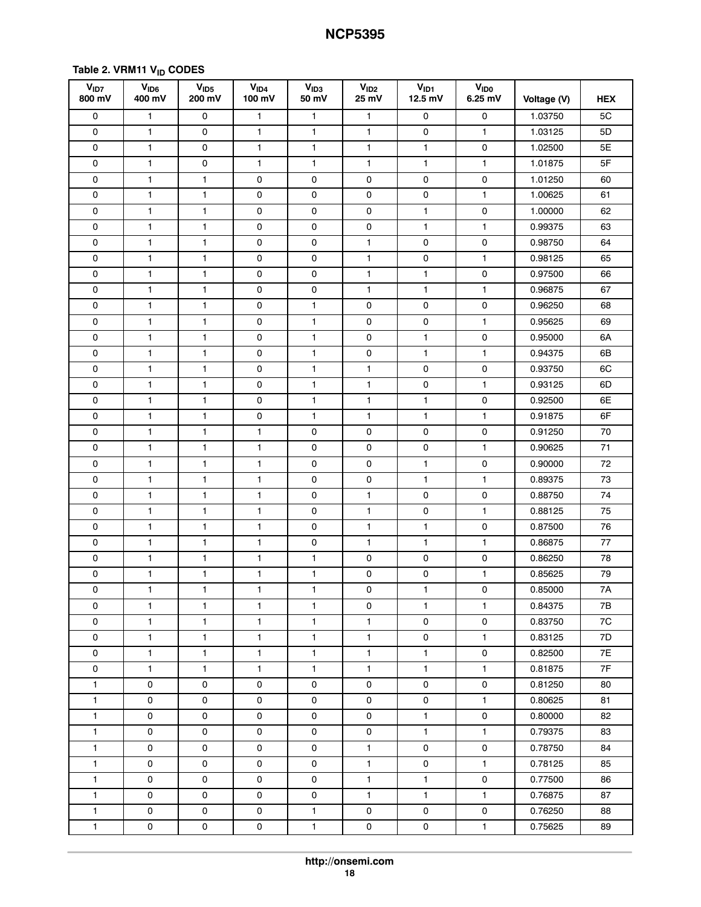# **Table [2](#page-15-0). VRM11 VID CODES**

| V <sub>1D7</sub><br>800 mV | V <sub>ID6</sub><br>400 mV | V <sub>ID5</sub><br>200 mV | V <sub>ID4</sub><br>100 mV | V <sub>ID3</sub><br>50 mV | V <sub>ID2</sub><br>25 mV | V <sub>ID1</sub><br>$12.5$ mV | <b>V<sub>IDO</sub></b><br>$6.25$ mV | Voltage (V) | <b>HEX</b> |
|----------------------------|----------------------------|----------------------------|----------------------------|---------------------------|---------------------------|-------------------------------|-------------------------------------|-------------|------------|
| 0                          | $\mathbf{1}$               | 0                          | $\mathbf{1}$               | $\mathbf{1}$              | $\mathbf{1}$              | 0                             | 0                                   | 1.03750     | 5C         |
| 0                          | $\mathbf{1}$               | 0                          | 1                          | 1                         | $\mathbf{1}$              | 0                             | $\mathbf{1}$                        | 1.03125     | 5D         |
| 0                          | 1                          | 0                          | 1                          | $\mathbf{1}$              | $\mathbf{1}$              | $\mathbf{1}$                  | 0                                   | 1.02500     | 5E         |
| 0                          | $\mathbf{1}$               | 0                          | $\mathbf{1}$               | $\mathbf{1}$              | $\mathbf{1}$              | $\mathbf{1}$                  | 1                                   | 1.01875     | 5F         |
| 0                          | $\mathbf{1}$               | 1                          | 0                          | 0                         | 0                         | 0                             | 0                                   | 1.01250     | 60         |
| 0                          | 1                          | 1                          | 0                          | 0                         | 0                         | 0                             | 1                                   | 1.00625     | 61         |
| 0                          | $\mathbf{1}$               | $\mathbf{1}$               | 0                          | 0                         | 0                         | $\mathbf{1}$                  | 0                                   | 1.00000     | 62         |
| 0                          | $\mathbf{1}$               | $\mathbf{1}$               | 0                          | 0                         | 0                         | $\mathbf{1}$                  | $\mathbf{1}$                        | 0.99375     | 63         |
| 0                          | 1                          | 1                          | 0                          | 0                         | $\mathbf{1}$              | 0                             | 0                                   | 0.98750     | 64         |
| 0                          | $\mathbf{1}$               | 1                          | 0                          | 0                         | $\mathbf{1}$              | 0                             | 1                                   | 0.98125     | 65         |
| 0                          | $\mathbf{1}$               | 1                          | 0                          | 0                         | $\mathbf{1}$              | $\mathbf{1}$                  | 0                                   | 0.97500     | 66         |
| 0                          | $\mathbf{1}$               | 1                          | 0                          | 0                         | $\mathbf{1}$              | $\mathbf{1}$                  | 1                                   | 0.96875     | 67         |
| 0                          | $\mathbf{1}$               | 1                          | 0                          | $\mathbf{1}$              | 0                         | 0                             | 0                                   | 0.96250     | 68         |
| 0                          | $\mathbf{1}$               | 1                          | 0                          | $\mathbf{1}$              | 0                         | 0                             | $\mathbf{1}$                        | 0.95625     | 69         |
| 0                          | $\mathbf{1}$               | $\mathbf{1}$               | 0                          | 1                         | 0                         | $\mathbf{1}$                  | 0                                   | 0.95000     | 6A         |
| 0                          | 1                          | 1                          | $\mathsf{O}\xspace$        | $\mathbf{1}$              | 0                         | $\mathbf{1}$                  | $\mathbf{1}$                        | 0.94375     | 6B         |
| 0                          | $\mathbf{1}$               | 1                          | 0                          | 1                         | 1                         | 0                             | 0                                   | 0.93750     | 6C         |
| 0                          | $\mathbf{1}$               | $\mathbf{1}$               | 0                          | $\mathbf{1}$              | $\mathbf{1}$              | 0                             | $\mathbf{1}$                        | 0.93125     | 6D         |
| 0                          | 1                          | 1                          | $\mathsf{O}\xspace$        | $\mathbf{1}$              | 1                         | $\mathbf{1}$                  | 0                                   | 0.92500     | 6E         |
| 0                          | $\mathbf{1}$               | 1                          | 0                          | $\mathbf{1}$              | $\mathbf{1}$              | $\mathbf{1}$                  | $\mathbf{1}$                        | 0.91875     | 6F         |
| 0                          | $\mathbf{1}$               | $\mathbf{1}$               | $\mathbf{1}$               | $\mathsf 0$               | $\mathsf{O}\xspace$       | $\mathsf 0$                   | $\mathsf 0$                         | 0.91250     | 70         |
| 0                          | 1                          | 1                          | 1                          | 0                         | 0                         | 0                             | 1                                   | 0.90625     | 71         |
| 0                          | $\mathbf{1}$               | 1                          | 1                          | 0                         | 0                         | $\mathbf{1}$                  | 0                                   | 0.90000     | 72         |
| 0                          | 1                          | 1                          | 1                          | $\mathsf 0$               | $\mathsf{O}\xspace$       | $\mathbf{1}$                  | 1                                   | 0.89375     | 73         |
| 0                          | $\mathbf{1}$               | 1                          | 1                          | 0                         | $\mathbf{1}$              | 0                             | 0                                   | 0.88750     | 74         |
| 0                          | $\mathbf{1}$               | 1                          | 1                          | $\mathsf{O}\xspace$       | $\mathbf{1}$              | $\mathsf 0$                   | 1                                   | 0.88125     | 75         |
| 0                          | $\mathbf{1}$               | $\mathbf{1}$               | 1                          | 0                         | $\mathbf{1}$              | $\mathbf{1}$                  | 0                                   | 0.87500     | 76         |
| 0                          | $\mathbf{1}$               | $\mathbf{1}$               | $\mathbf{1}$               | 0                         | $\mathbf{1}$              | $\mathbf{1}$                  | $\mathbf{1}$                        | 0.86875     | 77         |
| 0                          | 1                          | 1                          | 1                          | 1                         | 0                         | 0                             | 0                                   | 0.86250     | 78         |
| 0                          | $\mathbf{1}$               | 1                          | 1                          | $\mathbf{1}$              | $\mathsf{O}\xspace$       | $\mathsf 0$                   | 1                                   | 0.85625     | 79         |
| 0                          | $\mathbf{1}$               | $\mathbf{1}$               | 1                          | $\mathbf{1}$              | 0                         | $\mathbf{1}$                  | 0                                   | 0.85000     | 7A         |
| 0                          | $\mathbf{1}$               | $\mathbf{1}$               | $\mathbf{1}$               | $\mathbf{1}$              | 0                         | $\mathbf{1}$                  | $\mathbf{1}$                        | 0.84375     | 7B         |
| 0                          | $\mathbf{1}$               | $\mathbf{1}$               | $\mathbf{1}$               | $\mathbf{1}$              | $\mathbf{1}$              | 0                             | 0                                   | 0.83750     | 7C         |
| 0                          | $\mathbf{1}$               | $\mathbf{1}$               | $\mathbf{1}$               | $\mathbf{1}$              | $\mathbf{1}$              | 0                             | $\mathbf{1}$                        | 0.83125     | 7D         |
| 0                          | $\mathbf{1}$               | $\mathbf{1}$               | $\mathbf{1}$               | $\mathbf{1}$              | $\mathbf{1}$              | $\mathbf{1}$                  | 0                                   | 0.82500     | 7E         |
| $\mathsf{O}\xspace$        | $\mathbf{1}$               | $\mathbf{1}$               | $\mathbf{1}$               | $\mathbf{1}$              | $\mathbf{1}$              | $\mathbf{1}$                  | $\mathbf{1}$                        | 0.81875     | 7F         |
| $\mathbf{1}$               | 0                          | 0                          | 0                          | 0                         | 0                         | 0                             | 0                                   | 0.81250     | 80         |
| $\mathbf{1}$               | 0                          | 0                          | 0                          | 0                         | $\mathsf{O}$              | 0                             | $\mathbf{1}$                        | 0.80625     | 81         |
| $\mathbf{1}$               | 0                          | 0                          | 0                          | 0                         | 0                         | $\mathbf{1}$                  | 0                                   | 0.80000     | 82         |
| $\mathbf{1}$               | 0                          | 0                          | 0                          | 0                         | 0                         | $\mathbf{1}$                  | $\mathbf{1}$                        | 0.79375     | 83         |
| $\mathbf{1}$               | 0                          | 0                          | 0                          | 0                         | $\mathbf{1}$              | 0                             | $\mathsf{O}$                        | 0.78750     | 84         |
| $\mathbf{1}$               | 0                          | 0                          | 0                          | 0                         | $\mathbf{1}$              | $\mathsf{o}$                  | $\mathbf{1}$                        | 0.78125     | 85         |
| $\mathbf{1}$               | 0                          | 0                          | 0                          | 0                         | $\mathbf{1}$              | $\mathbf{1}$                  | $\mathsf{O}$                        | 0.77500     | 86         |
| $\mathbf{1}$               | 0                          | 0                          | 0                          | 0                         | $\mathbf{1}$              | $\mathbf{1}$                  | $\mathbf{1}$                        | 0.76875     | 87         |
| $\mathbf{1}$               | $\mathsf{O}$               | 0                          | 0                          | $\mathbf{1}$              | $\mathsf{O}$              | 0                             | 0                                   | 0.76250     | 88         |
| $\mathbf{1}$               | 0                          | 0                          | 0                          | $\mathbf{1}$              | $\mathbf 0$               | $\mathsf{O}$                  | $\mathbf{1}$                        | 0.75625     | 89         |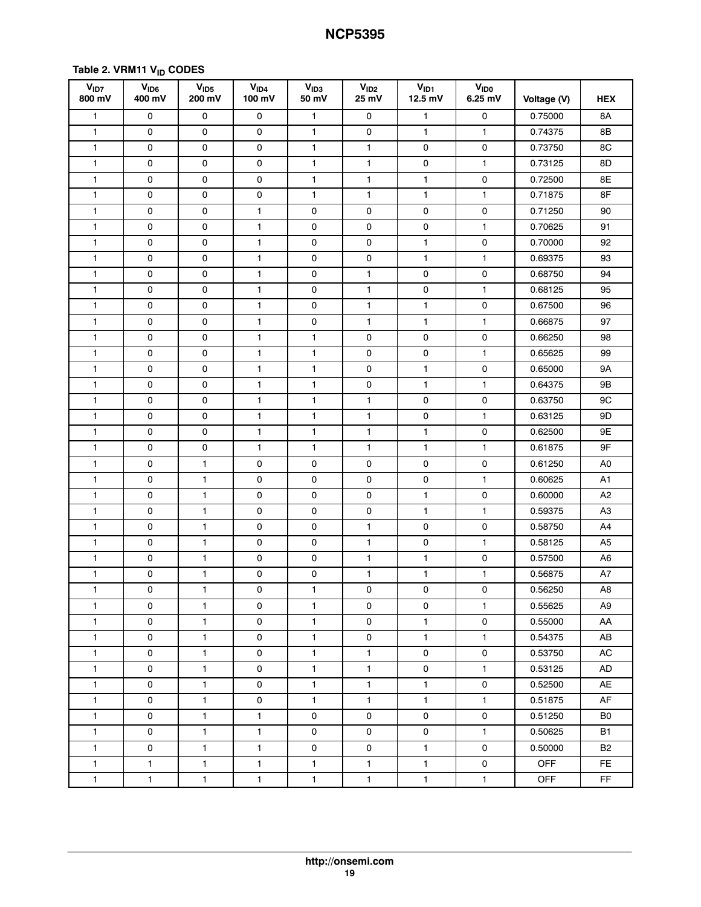# **Table [2](#page-15-0). VRM11 VID CODES**

| V <sub>ID7</sub><br>800 mV | V <sub>ID6</sub><br>400 mV | V <sub>ID5</sub><br>200 mV | V <sub>ID4</sub><br>100 mV | V <sub>ID3</sub><br>50 mV | V <sub>ID2</sub><br>25 mV | V <sub>ID1</sub><br>12.5 mV | <b>VIDO</b><br>6.25 mV | Voltage (V) | <b>HEX</b>     |
|----------------------------|----------------------------|----------------------------|----------------------------|---------------------------|---------------------------|-----------------------------|------------------------|-------------|----------------|
| 1                          | 0                          | 0                          | 0                          | $\mathbf{1}$              | 0                         | $\mathbf{1}$                | 0                      | 0.75000     | 8A             |
| $\mathbf{1}$               | 0                          | $\mathsf 0$                | 0                          | $\mathbf{1}$              | 0                         | $\mathbf{1}$                | $\mathbf{1}$           | 0.74375     | 8B             |
| 1                          | 0                          | 0                          | 0                          | 1                         | $\mathbf{1}$              | 0                           | 0                      | 0.73750     | 8C             |
| 1                          | 0                          | 0                          | 0                          | $\mathbf{1}$              | $\mathbf{1}$              | 0                           | $\mathbf{1}$           | 0.73125     | 8D             |
| 1                          | $\mathsf{O}\xspace$        | 0                          | $\mathsf{O}\xspace$        | $\mathbf{1}$              | 1                         | $\mathbf{1}$                | 0                      | 0.72500     | 8E             |
| 1                          | 0                          | $\mathsf 0$                | 0                          | $\mathbf{1}$              | $\mathbf{1}$              | $\mathbf{1}$                | $\mathbf{1}$           | 0.71875     | 8F             |
| 1                          | 0                          | 0                          | $\mathbf{1}$               | 0                         | $\mathsf 0$               | 0                           | 0                      | 0.71250     | 90             |
| 1                          | 0                          | 0                          | $\mathbf{1}$               | 0                         | 0                         | 0                           | $\mathbf{1}$           | 0.70625     | 91             |
| 1                          | 0                          | 0                          | 1                          | 0                         | $\mathsf 0$               | 1                           | $\mathsf 0$            | 0.70000     | 92             |
| 1                          | 0                          | 0                          | $\mathbf{1}$               | 0                         | $\mathsf{O}\xspace$       | $\mathbf{1}$                | $\mathbf{1}$           | 0.69375     | 93             |
| 1                          | 0                          | 0                          | $\mathbf{1}$               | 0                         | $\mathbf{1}$              | 0                           | 0                      | 0.68750     | 94             |
| $\mathbf{1}$               | 0                          | $\mathsf 0$                | 1                          | 0                         | 1                         | $\mathsf{o}$                | 1                      | 0.68125     | 95             |
| 1                          | 0                          | 0                          | 1                          | 0                         | $\mathbf{1}$              | $\mathbf{1}$                | 0                      | 0.67500     | 96             |
| 1                          | 0                          | 0                          | 1                          | 0                         | $\mathbf{1}$              | $\mathbf{1}$                | $\mathbf{1}$           | 0.66875     | 97             |
| $\mathbf{1}$               | 0                          | 0                          | $\mathbf{1}$               | 1                         | 0                         | 0                           | 0                      | 0.66250     | 98             |
| 1                          | 0                          | $\mathsf 0$                | $\mathbf{1}$               | $\mathbf{1}$              | $\mathsf 0$               | $\mathsf 0$                 | 1                      | 0.65625     | 99             |
| 1                          | $\mathsf{O}\xspace$        | 0                          | $\mathbf{1}$               | $\mathbf{1}$              | $\mathsf{O}\xspace$       | $\mathbf{1}$                | 0                      | 0.65000     | 9A             |
| 1                          | 0                          | 0                          | $\mathbf{1}$               | 1                         | 0                         | $\mathbf{1}$                | $\mathbf{1}$           | 0.64375     | 9B             |
| 1                          | 0                          | $\mathsf 0$                | 1                          | $\mathbf{1}$              | 1                         | $\mathsf{o}$                | $\mathsf{o}$           | 0.63750     | 9C             |
| 1                          | 0                          | 0                          | $\mathbf{1}$               | 1                         | $\mathbf{1}$              | 0                           | $\mathbf{1}$           | 0.63125     | 9D             |
| 1                          | 0                          | $\mathsf 0$                | 1                          | 1                         | 1                         | $\mathbf{1}$                | 0                      | 0.62500     | 9E             |
| 1                          | 0                          | 0                          | $\mathbf{1}$               | $\mathbf{1}$              | 1                         | $\mathbf{1}$                | $\mathbf{1}$           | 0.61875     | 9F             |
| 1                          | 0                          | 1                          | 0                          | 0                         | 0                         | 0                           | 0                      | 0.61250     | A0             |
| 1                          | 0                          | 1                          | 0                          | 0                         | 0                         | 0                           | $\mathbf{1}$           | 0.60625     | A1             |
| 1                          | 0                          | 1                          | 0                          | $\mathsf 0$               | $\mathsf 0$               | $\mathbf{1}$                | 0                      | 0.60000     | A <sub>2</sub> |
| 1                          | 0                          | 1                          | 0                          | $\mathsf 0$               | $\mathsf 0$               | $\mathbf{1}$                | 1                      | 0.59375     | AЗ             |
| $\mathbf{1}$               | $\mathsf{O}\xspace$        | $\mathbf{1}$               | 0                          | 0                         | $\mathbf{1}$              | $\mathsf{o}$                | 0                      | 0.58750     | A4             |
| 1                          | 0                          | 1                          | 0                          | 0                         | 1                         | 0                           | $\mathbf{1}$           | 0.58125     | A5             |
| 1                          | 0                          | 1                          | 0                          | 0                         | 1                         | 1                           | 0                      | 0.57500     | A6             |
| 1                          | 0                          | 1                          | 0                          | 0                         | 1                         | 1                           | $\mathbf{1}$           | 0.56875     | A7             |
| 1                          | 0                          | 1                          | 0                          | $\mathbf{1}$              | 0                         | 0                           | $\pmb{0}$              | 0.56250     | A8             |
| $\mathbf{1}$               | 0                          | $\mathbf{1}$               | 0                          | $\mathbf{1}$              | 0                         | 0                           | $\mathbf{1}$           | 0.55625     | A9             |
| $\mathbf{1}$               | 0                          | $\mathbf{1}$               | 0                          | $\mathbf{1}$              | $\mathsf{O}$              | $\mathbf{1}$                | 0                      | 0.55000     | AA             |
| $\mathbf{1}$               | 0                          | $\mathbf{1}$               | 0                          | $\mathbf{1}$              | 0                         | $\mathbf{1}$                | $\mathbf{1}$           | 0.54375     | AB             |
| $\mathbf{1}$               | 0                          | $\mathbf{1}$               | 0                          | $\mathbf{1}$              | $\mathbf{1}$              | 0                           | 0                      | 0.53750     | AC             |
| $\mathbf{1}$               | $\mathsf{O}$               | $\mathbf{1}$               | 0                          | $\mathbf{1}$              | $\mathbf{1}$              | 0                           | $\mathbf{1}$           | 0.53125     | AD             |
| $\mathbf{1}$               | 0                          | $\mathbf{1}$               | 0                          | $\mathbf{1}$              | $\mathbf{1}$              | $\mathbf{1}$                | $\mathsf{o}\,$         | 0.52500     | AE             |
| $\mathbf{1}$               | $\mathsf{O}$               | $\mathbf{1}$               | 0                          | $\mathbf{1}$              | $\mathbf{1}$              | $\mathbf{1}$                | $\mathbf{1}$           | 0.51875     | AF             |
| $\mathbf{1}$               | 0                          | $\mathbf{1}$               | $\mathbf{1}$               | 0                         | 0                         | 0                           | 0                      | 0.51250     | B0             |
| $\mathbf{1}$               | 0                          | $\mathbf{1}$               | $\mathbf{1}$               | 0                         | $\mathsf{O}$              | 0                           | $\mathbf{1}$           | 0.50625     | <b>B1</b>      |
| $\mathbf{1}$               | $\mathsf{O}$               | $\mathbf{1}$               | $\mathbf{1}$               | 0                         | 0                         | $\mathbf{1}$                | 0                      | 0.50000     | B2             |
| $\mathbf{1}$               | $\mathbf{1}$               | $\mathbf{1}$               | $\mathbf{1}$               | $\mathbf{1}$              | $\mathbf{1}$              | $\mathbf{1}$                | $\mathsf{O}\xspace$    | <b>OFF</b>  | FE.            |
| $\mathbf{1}$               | $\mathbf{1}$               | $\mathbf{1}$               | $\mathbf{1}$               | $\mathbf{1}$              | $\mathbf{1}$              | $\mathbf{1}$                | $\mathbf{1}$           | <b>OFF</b>  | FF             |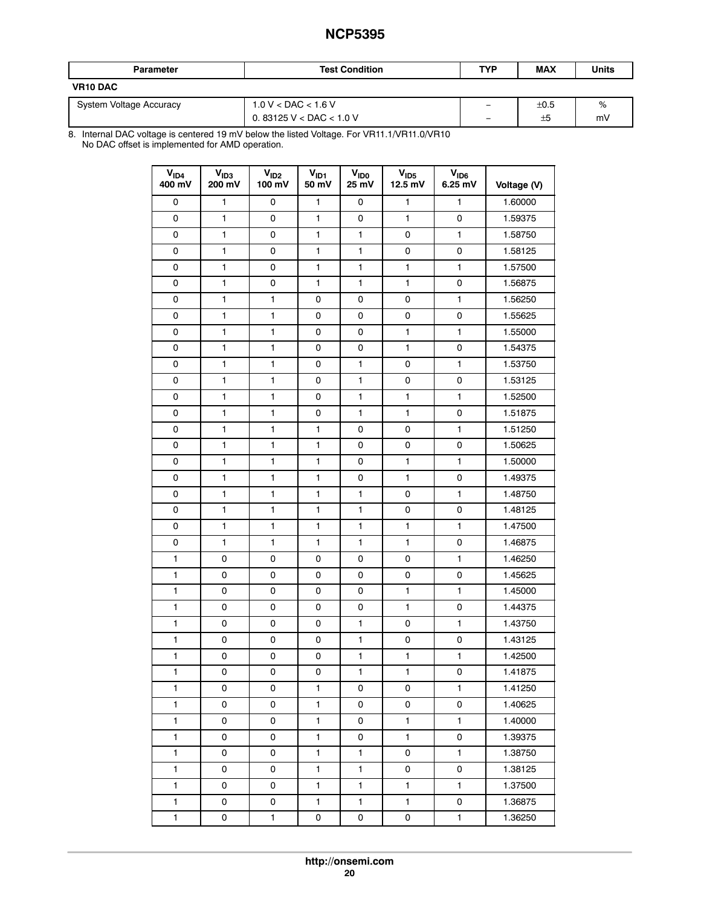| <b>Parameter</b>        | <b>Test Condition</b>   | TYP                      | <b>MAX</b> | Units |
|-------------------------|-------------------------|--------------------------|------------|-------|
| <b>VR10 DAC</b>         |                         |                          |            |       |
| System Voltage Accuracy | $1.0 V <$ DAC $< 1.6 V$ | -                        | ±0.5       | %     |
|                         | 0.83125 V < DAC < 1.0 V | $\overline{\phantom{0}}$ | ±5         | m١    |

8. Internal DAC voltage is centered 19 mV below the listed Voltage. For VR11.1/VR11.0/VR10 No DAC offset is implemented for AMD operation.

| V <sub>ID4</sub><br>400 mV | V <sub>ID3</sub><br>200 mV | V <sub>ID2</sub><br>100 mV | $V_{ID1}$<br>50 mV | <b>V<sub>IDO</sub></b><br>25 mV | V <sub>ID5</sub><br>12.5 mV | V <sub>ID6</sub><br>$6.25$ mV | Voltage (V) |
|----------------------------|----------------------------|----------------------------|--------------------|---------------------------------|-----------------------------|-------------------------------|-------------|
| 0                          | 1                          | 0                          | 1                  | 0                               | $\mathbf{1}$                | 1                             | 1.60000     |
| 0                          | 1                          | 0                          | 1                  | 0                               | 1                           | 0                             | 1.59375     |
| 0                          | 1                          | 0                          | $\mathbf{1}$       | 1                               | 0                           | $\mathbf{1}$                  | 1.58750     |
| 0                          | 1                          | 0                          | 1                  | 1                               | 0                           | 0                             | 1.58125     |
| 0                          | 1                          | 0                          | 1                  | 1                               | 1                           | 1                             | 1.57500     |
| 0                          | 1                          | 0                          | 1                  | 1                               | 1                           | 0                             | 1.56875     |
| 0                          | 1                          | 1                          | 0                  | 0                               | 0                           | 1                             | 1.56250     |
| 0                          | 1                          | 1                          | 0                  | 0                               | 0                           | 0                             | 1.55625     |
| 0                          | 1                          | 1                          | 0                  | 0                               | 1                           | 1                             | 1.55000     |
| 0                          | 1                          | $\mathbf{1}$               | 0                  | 0                               | $\mathbf{1}$                | 0                             | 1.54375     |
| 0                          | 1                          | 1                          | 0                  | 1                               | 0                           | 1                             | 1.53750     |
| 0                          | 1                          | 1                          | 0                  | 1                               | 0                           | 0                             | 1.53125     |
| 0                          | 1                          | 1                          | 0                  | 1                               | 1                           | 1                             | 1.52500     |
| 0                          | 1                          | 1                          | 0                  | 1                               | 1                           | 0                             | 1.51875     |
| 0                          | 1                          | $\mathbf{1}$               | $\mathbf{1}$       | 0                               | 0                           | $\mathbf{1}$                  | 1.51250     |
| 0                          | 1                          | 1                          | 1                  | 0                               | 0                           | 0                             | 1.50625     |
| 0                          | 1                          | 1                          | $\mathbf{1}$       | 0                               | 1                           | $\mathbf{1}$                  | 1.50000     |
| 0                          | 1                          | 1                          | 1                  | 0                               | 1                           | 0                             | 1.49375     |
| 0                          | 1                          | 1                          | 1                  | 1                               | 0                           | 1                             | 1.48750     |
| 0                          | 1                          | 1                          | 1                  | 1                               | 0                           | 0                             | 1.48125     |
| 0                          | 1                          | 1                          | 1                  | 1                               | 1                           | 1                             | 1.47500     |
| 0                          | 1                          | 1                          | $\mathbf{1}$       | 1                               | $\mathbf{1}$                | 0                             | 1.46875     |
| 1                          | 0                          | 0                          | 0                  | 0                               | 0                           | 1                             | 1.46250     |
| 1                          | 0                          | 0                          | 0                  | 0                               | 0                           | 0                             | 1.45625     |
| 1                          | 0                          | 0                          | 0                  | 0                               | 1                           | 1                             | 1.45000     |
| 1                          | 0                          | 0                          | 0                  | 0                               | $\mathbf{1}$                | 0                             | 1.44375     |
| 1                          | 0                          | 0                          | 0                  | 1                               | 0                           | 1                             | 1.43750     |
| 1                          | 0                          | 0                          | 0                  | 1                               | 0                           | 0                             | 1.43125     |
| 1                          | 0                          | 0                          | 0                  | 1                               | 1                           | 1                             | 1.42500     |
| 1                          | 0                          | 0                          | 0                  | $\mathbf{1}$                    | 1                           | 0                             | 1.41875     |
| $\mathbf{1}$               | 0                          | 0                          | $\mathbf{1}$       | 0                               | 0                           | $\mathbf{1}$                  | 1.41250     |
| $\mathbf{1}$               | 0                          | 0                          | $\mathbf{1}$       | 0                               | 0                           | 0                             | 1.40625     |
| 1                          | 0                          | 0                          | $\mathbf{1}$       | 0                               | 1                           | $\mathbf{1}$                  | 1.40000     |
| 1                          | 0                          | 0                          | $\mathbf{1}$       | 0                               | $\mathbf{1}$                | 0                             | 1.39375     |
| 1                          | 0                          | 0                          | $\mathbf{1}$       | 1                               | 0                           | 1                             | 1.38750     |
| 1                          | $\mathsf{O}\xspace$        | 0                          | $\mathbf{1}$       | $\mathbf{1}$                    | 0                           | 0                             | 1.38125     |
| $\mathbf{1}$               | 0                          | 0                          | $\mathbf{1}$       | $\mathbf{1}$                    | 1                           | $\mathbf{1}$                  | 1.37500     |
| 1                          | 0                          | 0                          | $\mathbf{1}$       | $\mathbf{1}$                    | $\mathbf{1}$                | 0                             | 1.36875     |
| 1                          | 0                          | 1                          | 0                  | 0                               | 0                           | $\mathbf{1}$                  | 1.36250     |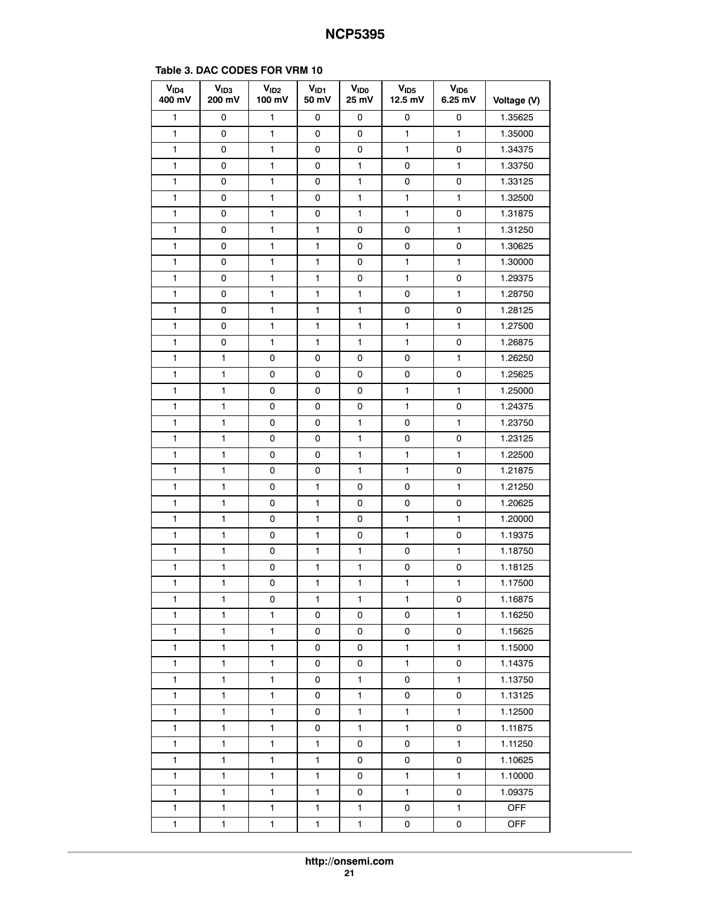<span id="page-20-0"></span>

| V <sub>ID4</sub><br>400 mV | V <sub>ID3</sub><br>200 mV | V <sub>ID2</sub><br>100 mV | $V_{ID1}$<br>50 mV | <b>V<sub>IDO</sub></b><br>25 mV | V <sub>1D5</sub><br>12.5 mV | V <sub>ID6</sub><br>6.25 mV | Voltage (V) |
|----------------------------|----------------------------|----------------------------|--------------------|---------------------------------|-----------------------------|-----------------------------|-------------|
| 1                          | 0                          | 1                          | 0                  | 0                               | 0                           | 0                           | 1.35625     |
| 1                          | 0                          | 1                          | 0                  | 0                               | 1                           | 1                           | 1.35000     |
| 1                          | 0                          | 1                          | 0                  | 0                               | 1                           | 0                           | 1.34375     |
| 1                          | 0                          | 1                          | 0                  | 1                               | 0                           | 1                           | 1.33750     |
| 1                          | 0                          | 1                          | 0                  | 1                               | 0                           | 0                           | 1.33125     |
| 1                          | 0                          | 1                          | 0                  | 1                               | 1                           | 1                           | 1.32500     |
| 1                          | 0                          | 1                          | 0                  | 1                               | 1                           | 0                           | 1.31875     |
| 1                          | 0                          | 1                          | 1                  | 0                               | 0                           | 1                           | 1.31250     |
| 1                          | 0                          | 1                          | 1                  | 0                               | 0                           | 0                           | 1.30625     |
| 1                          | 0                          | 1                          | 1                  | 0                               | $\mathbf{1}$                | 1                           | 1.30000     |
| 1                          | 0                          | 1                          | 1                  | 0                               | $\mathbf{1}$                | 0                           | 1.29375     |
| 1                          | 0                          | 1                          | 1                  | 1                               | 0                           | 1                           | 1.28750     |
| 1                          | 0                          | 1                          | 1                  | 1                               | 0                           | 0                           | 1.28125     |
| 1                          | 0                          | 1                          | 1                  | 1                               | 1                           | 1                           | 1.27500     |
| 1                          | 0                          | 1                          | 1                  | 1                               | 1                           | 0                           | 1.26875     |
| 1                          | 1                          | 0                          | 0                  | 0                               | 0                           | 1                           | 1.26250     |
| 1                          | 1                          | 0                          | 0                  | 0                               | 0                           | 0                           | 1.25625     |
| 1                          | 1                          | 0                          | 0                  | 0                               | 1                           | 1                           | 1.25000     |
| 1                          | 1                          | 0                          | 0                  | 0                               | 1                           | 0                           | 1.24375     |
| 1                          | 1                          | 0                          | 0                  | 1                               | 0                           | 1                           | 1.23750     |
| 1                          | 1                          | 0                          | 0                  | 1                               | 0                           | 0                           | 1.23125     |
| 1                          | 1                          | 0                          | 0                  | 1                               | 1                           | $\mathbf{1}$                | 1.22500     |
| 1                          | 1                          | 0                          | 0                  | 1                               | 1                           | 0                           | 1.21875     |
| 1                          | 1                          | 0                          | 1                  | 0                               | 0                           | 1                           | 1.21250     |
| 1                          | 1                          | 0                          | 1                  | 0                               | 0                           | 0                           | 1.20625     |
| 1                          | $\mathbf{1}$               | 0                          | 1                  | 0                               | 1                           | 1                           | 1.20000     |
| 1                          | 1                          | 0                          | 1                  | 0                               | 1                           | 0                           | 1.19375     |
| 1                          | 1                          | 0                          | 1                  | 1                               | 0                           | 1                           | 1.18750     |
| 1                          | $\mathbf{1}$               | 0                          | 1                  | 1                               | 0                           | 0                           | 1.18125     |
| 1                          | 1                          | 0                          | 1                  | 1                               | 1                           | 1                           | 1.17500     |
| 1                          | 1                          | 0                          | 1                  | 1                               | 1                           | 0                           | 1.16875     |
| $\mathbf{1}$               | $\mathbf{1}$               | $\mathbf{1}$               | 0                  | 0                               | 0                           | 1                           | 1.16250     |
| 1                          | $\mathbf{1}$               | 1                          | 0                  | 0                               | 0                           | 0                           | 1.15625     |
| 1                          | $\mathbf{1}$               | 1                          | 0                  | 0                               | 1                           | 1                           | 1.15000     |
| 1                          | 1                          | $\mathbf{1}$               | 0                  | 0                               | $\mathbf{1}$                | 0                           | 1.14375     |
| 1                          | 1                          | $\mathbf{1}$               | 0                  | $\mathbf{1}$                    | 0                           | $\mathbf{1}$                | 1.13750     |
| 1                          | 1                          | 1                          | 0                  | 1                               | 0                           | 0                           | 1.13125     |
| $\mathbf{1}$               | $\mathbf{1}$               | $\mathbf{1}$               | 0                  | $\mathbf{1}$                    | $\mathbf{1}$                | $\mathbf{1}$                | 1.12500     |
| 1                          | 1                          | $\mathbf{1}$               | 0                  | $\mathbf{1}$                    | $\mathbf{1}$                | 0                           | 1.11875     |
| 1                          | $\mathbf{1}$               | 1                          | 1                  | 0                               | 0                           | 1                           | 1.11250     |
| $\mathbf{1}$               | $\mathbf{1}$               | $\mathbf{1}$               | 1                  | 0                               | 0                           | 0                           | 1.10625     |
| 1                          | 1                          | $\mathbf{1}$               | 1                  | 0                               | $\mathbf{1}$                | 1                           | 1.10000     |
| $\mathbf{1}$               | $\mathbf{1}$               | 1                          | 1                  | 0                               | $\mathbf{1}$                | 0                           | 1.09375     |
| $\mathbf{1}$               | $\mathbf{1}$               | $\mathbf{1}$               | 1                  | $\mathbf{1}$                    | 0                           | $\mathbf{1}$                | <b>OFF</b>  |
| $\mathbf{1}$               | 1                          | 1                          | 1                  | 1                               | 0                           | 0                           | <b>OFF</b>  |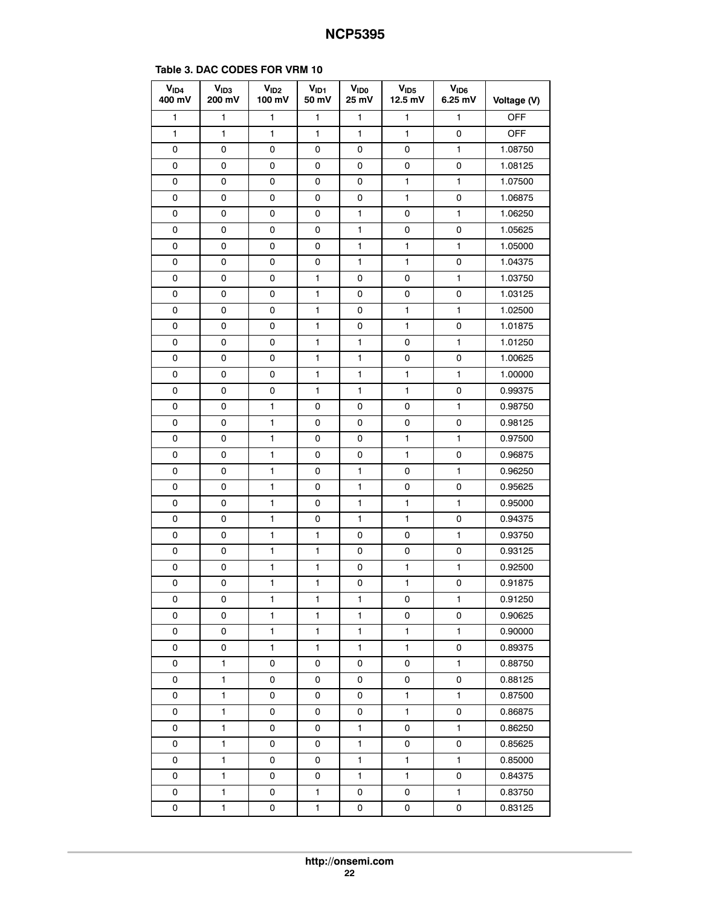|  |  | Table 3. DAC CODES FOR VRM 10 |
|--|--|-------------------------------|
|  |  |                               |

| V <sub>ID4</sub><br>400 mV | $V_{1D3}$<br>200 mV | V <sub>ID2</sub><br>100 mV | $V_{ID1}$<br>50 mV | V <sub>ID0</sub><br>25 mV | V <sub>1D5</sub><br>12.5 mV | V <sub>ID6</sub><br>6.25 mV | Voltage (V) |
|----------------------------|---------------------|----------------------------|--------------------|---------------------------|-----------------------------|-----------------------------|-------------|
| 1                          | 1                   | 1                          | $\mathbf{1}$       | $\mathbf{1}$              | 1                           | 1                           | OFF         |
| 1                          | 1                   | 1                          | 1                  | 1                         | 1                           | 0                           | <b>OFF</b>  |
| 0                          | 0                   | 0                          | 0                  | 0                         | 0                           | 1                           | 1.08750     |
| 0                          | 0                   | 0                          | 0                  | 0                         | 0                           | 0                           | 1.08125     |
| 0                          | 0                   | 0                          | 0                  | 0                         | 1                           | 1                           | 1.07500     |
| 0                          | 0                   | 0                          | 0                  | 0                         | 1                           | 0                           | 1.06875     |
| 0                          | 0                   | 0                          | 0                  | 1                         | 0                           | 1                           | 1.06250     |
| 0                          | 0                   | 0                          | 0                  | 1                         | 0                           | 0                           | 1.05625     |
| 0                          | 0                   | 0                          | 0                  | 1                         | 1                           | 1                           | 1.05000     |
| 0                          | 0                   | 0                          | 0                  | 1                         | 1                           | 0                           | 1.04375     |
| 0                          | 0                   | 0                          | 1                  | 0                         | 0                           | 1                           | 1.03750     |
| 0                          | 0                   | 0                          | 1                  | 0                         | 0                           | 0                           | 1.03125     |
| 0                          | 0                   | 0                          | 1                  | 0                         | 1                           | 1                           | 1.02500     |
| 0                          | 0                   | 0                          | 1                  | 0                         | 1                           | 0                           | 1.01875     |
| 0                          | 0                   | 0                          | 1                  | 1                         | 0                           | 1                           | 1.01250     |
| 0                          | 0                   | 0                          | 1                  | 1                         | 0                           | 0                           | 1.00625     |
| 0                          | 0                   | 0                          | 1                  | 1                         | 1                           | 1                           | 1.00000     |
| 0                          | 0                   | 0                          | 1                  | 1                         | 1                           | 0                           | 0.99375     |
| 0                          | 0                   | 1                          | 0                  | 0                         | 0                           | 1                           | 0.98750     |
| 0                          | 0                   | 1                          | 0                  | 0                         | 0                           | 0                           | 0.98125     |
| 0                          | 0                   | 1                          | 0                  | 0                         | 1                           | 1                           | 0.97500     |
| 0                          | 0                   | 1                          | 0                  | 0                         | 1                           | 0                           | 0.96875     |
| 0                          | 0                   | 1                          | 0                  | 1                         | 0                           | 1                           | 0.96250     |
| 0                          | 0                   | 1                          | 0                  | 1                         | 0                           | 0                           | 0.95625     |
| 0                          | 0                   | 1                          | 0                  | 1                         | 1                           | 1                           | 0.95000     |
| 0                          | 0                   | 1                          | 0                  | 1                         | 1                           | 0                           | 0.94375     |
| 0                          | 0                   | 1                          | 1                  | 0                         | 0                           | 1                           | 0.93750     |
| 0                          | 0                   | 1                          | 1                  | 0                         | 0                           | 0                           | 0.93125     |
| 0                          | 0                   | 1                          | 1                  | 0                         | 1                           | 1                           | 0.92500     |
| 0                          | 0                   | 1                          | 1                  | 0                         | $\mathbf{1}$                | 0                           | 0.91875     |
| 0                          | 0                   | 1                          | 1                  | 1                         | 0                           | 1                           | 0.91250     |
| 0                          | 0                   | $\mathbf{1}$               | 1                  | $\mathbf{1}$              | 0                           | 0                           | 0.90625     |
| 0                          | 0                   | 1                          | $\mathbf{1}$       | 1                         | $\mathbf{1}$                | 1                           | 0.90000     |
| 0                          | 0                   | $\mathbf{1}$               | $\mathbf{1}$       | $\mathbf{1}$              | $\mathbf{1}$                | 0                           | 0.89375     |
| 0                          | $\mathbf{1}$        | 0                          | 0                  | 0                         | 0                           | 1                           | 0.88750     |
| 0                          | 1                   | 0                          | 0                  | 0                         | 0                           | 0                           | 0.88125     |
| 0                          | $\mathbf{1}$        | 0                          | 0                  | 0                         | 1                           | 1                           | 0.87500     |
| 0                          | $\mathbf{1}$        | 0                          | 0                  | 0                         | $\mathbf{1}$                | 0                           | 0.86875     |
| 0                          | 1                   | 0                          | 0                  | 1                         | 0                           | 1                           | 0.86250     |
| 0                          | 1                   | 0                          | 0                  | $\mathbf{1}$              | 0                           | 0                           | 0.85625     |
| 0                          | $\mathbf{1}$        | 0                          | 0                  | $\mathbf{1}$              | $\mathbf{1}$                | $\mathbf{1}$                | 0.85000     |
| 0                          | 1                   | 0                          | 0                  | 1                         | 1                           | 0                           | 0.84375     |
| 0                          | 1                   | 0                          | 1                  | 0                         | 0                           | 1                           | 0.83750     |
| 0                          | $\mathbf{1}$        | 0                          | $\mathbf{1}$       | 0                         | 0                           | 0                           | 0.83125     |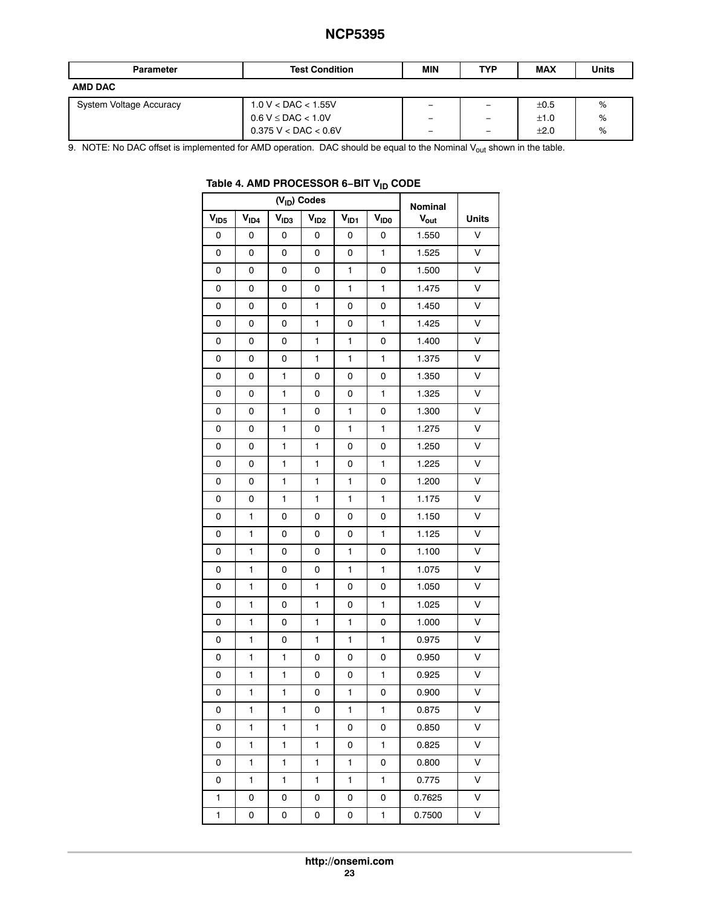<span id="page-22-0"></span>

| <b>Parameter</b>        | <b>Test Condition</b>       | MIN | <b>TYP</b>               | <b>MAX</b> | <b>Units</b> |
|-------------------------|-----------------------------|-----|--------------------------|------------|--------------|
| <b>AMD DAC</b>          |                             |     |                          |            |              |
| System Voltage Accuracy | $1.0 V <$ DAC $<$ 1.55V     |     | -                        | ±0.5       | %            |
|                         | $0.6$ V $\leq$ DAC $<$ 1.0V | -   | -                        | ±1.0       | %            |
|                         | $0.375$ V < DAC < 0.6V      | -   | $\overline{\phantom{0}}$ | ±2.0       | %            |

9. NOTE: No DAC offset is implemented for AMD operation. DAC should be equal to the Nominal  $V_{out}$  shown in the table.

|                  |           |                  | $(V_{ID})$ Codes |           |                  | <b>Nominal</b>   |              |
|------------------|-----------|------------------|------------------|-----------|------------------|------------------|--------------|
| V <sub>ID5</sub> | $V_{ID4}$ | V <sub>ID3</sub> | V <sub>ID2</sub> | $V_{ID1}$ | V <sub>ID0</sub> | $V_{\text{out}}$ | <b>Units</b> |
| 0                | 0         | 0                | 0                | 0         | 0                | 1.550            | $\vee$       |
| 0                | 0         | 0                | 0                | 0         | 1                | 1.525            | V            |
| 0                | 0         | 0                | 0                | 1         | 0                | 1.500            | v            |
| 0                | 0         | 0                | 0                | 1         | 1                | 1.475            | V            |
| 0                | 0         | 0                | 1                | 0         | 0                | 1.450            | V            |
| 0                | 0         | 0                | 1                | 0         | 1                | 1.425            | V            |
| 0                | 0         | 0                | 1                | 1         | 0                | 1.400            | V            |
| 0                | 0         | 0                | 1                | 1         | 1                | 1.375            | V            |
| 0                | 0         | 1                | 0                | 0         | 0                | 1.350            | V            |
| 0                | 0         | 1                | 0                | 0         | 1                | 1.325            | V            |
| 0                | 0         | 1                | 0                | 1         | 0                | 1.300            | V            |
| 0                | 0         | 1                | 0                | 1         | 1                | 1.275            | v            |
| 0                | 0         | 1                | 1                | 0         | 0                | 1.250            | v            |
| 0                | 0         | 1                | 1                | 0         | 1                | 1.225            | V            |
| 0                | 0         | 1                | 1                | 1         | 0                | 1.200            | V            |
| 0                | 0         | 1                | 1                | 1         | 1                | 1.175            | V            |
| 0                | 1         | 0                | 0                | 0         | 0                | 1.150            | V            |
| 0                | 1         | 0                | 0                | 0         | 1                | 1.125            | V            |
| 0                | 1         | 0                | 0                | 1         | 0                | 1.100            | V            |
| 0                | 1         | 0                | 0                | 1         | 1                | 1.075            | V            |
| 0                | 1         | 0                | 1                | 0         | 0                | 1.050            | v            |
| 0                | 1         | 0                | 1                | 0         | 1                | 1.025            | V            |
| 0                | 1         | 0                | 1                | 1         | 0                | 1.000            | v            |
| 0                | 1         | 0                | 1                | 1         | 1                | 0.975            | V            |
| 0                | 1         | 1                | 0                | 0         | 0                | 0.950            | V            |
| 0                | 1         | 1                | 0                | 0         | 1                | 0.925            | V            |
| 0                | 1         | 1                | 0                | 1         | 0                | 0.900            | V            |
| 0                | 1         | 1                | 0                | 1         | 1                | 0.875            | v            |
| 0                | 1         | 1                | 1                | 0         | 0                | 0.850            | v            |
| 0                | 1         | 1                | 1                | 0         | 1                | 0.825            | v            |
| 0                | 1         | 1                | 1                | 1         | 0                | 0.800            | V            |
| 0                | 1         | 1                | 1                | 1         | 1                | 0.775            | v            |
| 1                | 0         | 0                | 0                | 0         | 0                | 0.7625           | V            |
| 1                | 0         | 0                | 0                | 0         | 1                | 0.7500           | V            |

# **Table 4. AMD PROCESSOR 6−BIT VID CODE**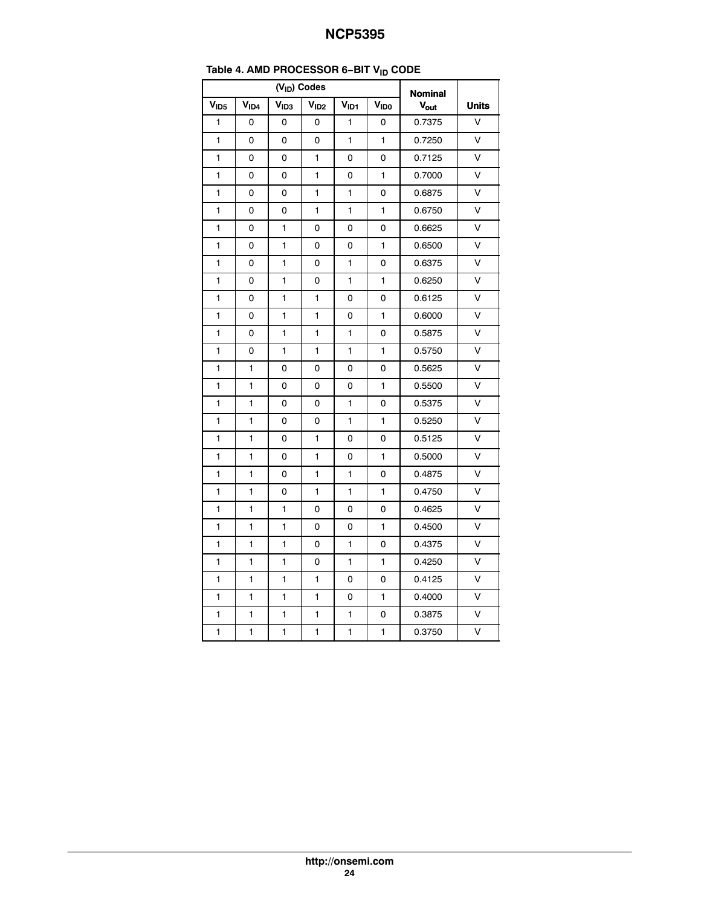| .<br>טוי         |                  |                  |                  |                  |                  |        |        |  |
|------------------|------------------|------------------|------------------|------------------|------------------|--------|--------|--|
|                  |                  | <b>Nominal</b>   |                  |                  |                  |        |        |  |
| V <sub>ID5</sub> | V <sub>ID4</sub> | V <sub>ID3</sub> | V <sub>ID2</sub> | V <sub>ID1</sub> | V <sub>IDO</sub> | Vout   | Units  |  |
| $\mathbf{1}$     | 0                | 0                | 0                | 1                | 0                | 0.7375 | $\vee$ |  |
| $\blacksquare$   | 0                | 0                | 0                | $\blacksquare$   | 1                | 0.7250 | $\vee$ |  |
| 1                | 0                | 0                | 1                | 0                | 0                | 0.7125 | V      |  |
| 1                | 0                | 0                | 1                | 0                | 1                | 0.7000 | V      |  |
| 1                | 0                | 0                | 1                | 1                | 0                | 0.6875 | V      |  |
| 1                | 0                | 0                | 1                | 1                | 1                | 0.6750 | $\vee$ |  |
| 1                | 0                | 1                | 0                | 0                | 0                | 0.6625 | V      |  |
| 1                | 0                | 1                | 0                | 0                | $\blacksquare$   | 0.6500 | V      |  |
| 1                | 0                | 1                | 0                | 1                | 0                | 0.6375 | V      |  |
| 1                | 0                | 1                | 0                | $\mathbf{1}$     | 1                | 0.6250 | V      |  |
| 1                | 0                | 1                | 1                | 0                | 0                | 0.6125 | V      |  |
| 1                | 0                | 1                | 1                | 0                | 1                | 0.6000 | $\vee$ |  |
| 1                | 0                | 1                | 1                | 1                | 0                | 0.5875 | $\vee$ |  |
| 1                | 0                | 1                | 1                | $\mathbf{1}$     | $\mathbf{1}$     | 0.5750 | V      |  |
| 1                | 1                | 0                | 0                | 0                | 0                | 0.5625 | V      |  |
| 1                | 1                | 0                | 0                | 0                | 1                | 0.5500 | $\vee$ |  |
| 1                | 1                | 0                | 0                | $\mathbf{1}$     | 0                | 0.5375 | V      |  |
| 1                | 1                | 0                | 0                | 1                | 1                | 0.5250 | V      |  |
| 1                | 1                | 0                | 1                | 0                | 0                | 0.5125 | $\vee$ |  |
| 1                | 1                | 0                | 1                | 0                | $\mathbf{1}$     | 0.5000 | $\vee$ |  |
| 1                | 1                | 0                | 1                | 1                | 0                | 0.4875 | V      |  |
| 1                | 1                | 0                | 1                | 1                | 1                | 0.4750 | $\vee$ |  |
| 1                | 1                | 1                | 0                | 0                | 0                | 0.4625 | $\vee$ |  |
| 1                | 1                | 1                | 0                | 0                | 1                | 0.4500 | $\vee$ |  |
| 1                | 1                | 1                | 0                | 1                | 0                | 0.4375 | $\vee$ |  |
| 1                | 1                | 1                | 0                | $\blacksquare$   | $\blacksquare$   | 0.4250 | $\vee$ |  |
| 1                | 1                | 1                | 1                | 0                | 0                | 0.4125 | V      |  |
| 1                | 1                | 1                | 1                | 0                | 1                | 0.4000 | V      |  |
| 1                | 1                | 1                | 1                | $\mathbf{1}$     | 0                | 0.3875 | $\vee$ |  |
| 1                | 1                | 1                | 1                | 1                | 1                | 0.3750 | $\vee$ |  |

# **Table [4.](#page-22-0) AMD PROCESSOR 6−BIT VID CODE**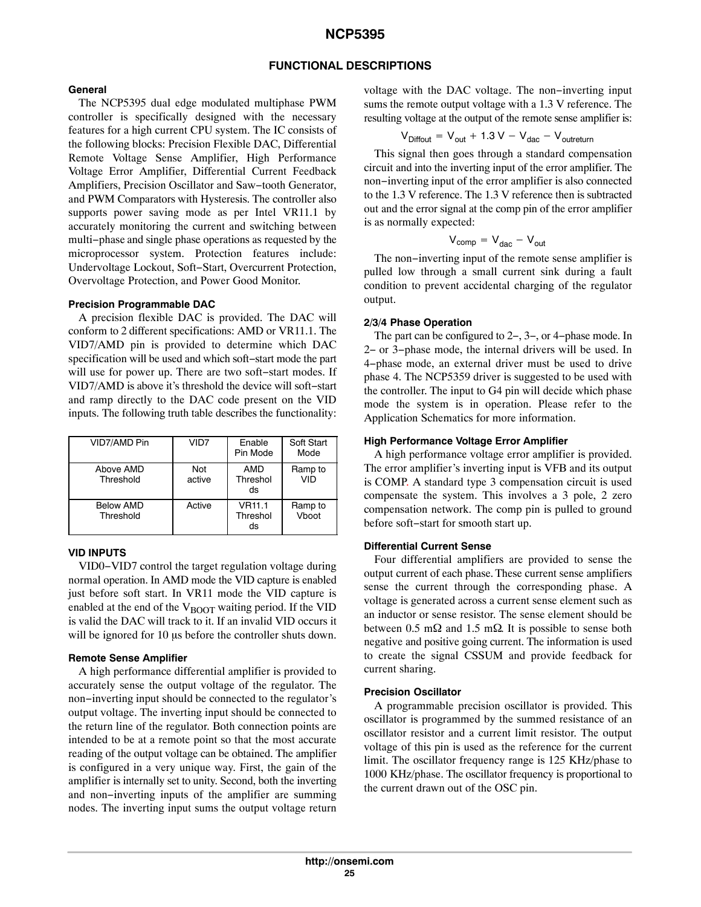### **FUNCTIONAL DESCRIPTIONS**

#### **General**

The NCP5395 dual edge modulated multiphase PWM controller is specifically designed with the necessary features for a high current CPU system. The IC consists of the following blocks: Precision Flexible DAC, Differential Remote Voltage Sense Amplifier, High Performance Voltage Error Amplifier, Differential Current Feedback Amplifiers, Precision Oscillator and Saw−tooth Generator, and PWM Comparators with Hysteresis. The controller also supports power saving mode as per Intel VR11.1 by accurately monitoring the current and switching between multi−phase and single phase operations as requested by the microprocessor system. Protection features include: Undervoltage Lockout, Soft−Start, Overcurrent Protection, Overvoltage Protection, and Power Good Monitor.

#### **Precision Programmable DAC**

A precision flexible DAC is provided. The DAC will conform to 2 different specifications: AMD or VR11.1. The VID7/AMD pin is provided to determine which DAC specification will be used and which soft−start mode the part will use for power up. There are two soft−start modes. If VID7/AMD is above it's threshold the device will soft−start and ramp directly to the DAC code present on the VID inputs. The following truth table describes the functionality:

| VID7/AMD Pin                  | VID7          | Enable<br>Pin Mode              | Soft Start<br>Mode |
|-------------------------------|---------------|---------------------------------|--------------------|
| Above AMD<br>Threshold        | Not<br>active | <b>AMD</b><br>Threshol<br>ds    | Ramp to<br>VID     |
| <b>Below AMD</b><br>Threshold | Active        | <b>VR11.1</b><br>Threshol<br>ds | Ramp to<br>Vboot   |

#### **VID INPUTS**

VID0−VID7 control the target regulation voltage during normal operation. In AMD mode the VID capture is enabled just before soft start. In VR11 mode the VID capture is enabled at the end of the  $V_{\text{BOOT}}$  waiting period. If the VID is valid the DAC will track to it. If an invalid VID occurs it will be ignored for 10 us before the controller shuts down.

#### **Remote Sense Amplifier**

A high performance differential amplifier is provided to accurately sense the output voltage of the regulator. The non−inverting input should be connected to the regulator's output voltage. The inverting input should be connected to the return line of the regulator. Both connection points are intended to be at a remote point so that the most accurate reading of the output voltage can be obtained. The amplifier is configured in a very unique way. First, the gain of the amplifier is internally set to unity. Second, both the inverting and non−inverting inputs of the amplifier are summing nodes. The inverting input sums the output voltage return

voltage with the DAC voltage. The non−inverting input sums the remote output voltage with a 1.3 V reference. The resulting voltage at the output of the remote sense amplifier is:

$$
V_{\text{Diffout}} = V_{\text{out}} + 1.3 V - V_{\text{dac}} - V_{\text{outreturn}}
$$

This signal then goes through a standard compensation circuit and into the inverting input of the error amplifier. The non−inverting input of the error amplifier is also connected to the 1.3 V reference. The 1.3 V reference then is subtracted out and the error signal at the comp pin of the error amplifier is as normally expected:

$$
V_{comp} = V_{dac} - V_{out}
$$

The non−inverting input of the remote sense amplifier is pulled low through a small current sink during a fault condition to prevent accidental charging of the regulator output.

#### **2/3/4 Phase Operation**

The part can be configured to 2−, 3−, or 4−phase mode. In 2− or 3−phase mode, the internal drivers will be used. In 4−phase mode, an external driver must be used to drive phase 4. The NCP5359 driver is suggested to be used with the controller. The input to G4 pin will decide which phase mode the system is in operation. Please refer to the Application Schematics for more information.

#### **High Performance Voltage Error Amplifier**

A high performance voltage error amplifier is provided. The error amplifier's inverting input is VFB and its output is COMP. A standard type 3 compensation circuit is used compensate the system. This involves a 3 pole, 2 zero compensation network. The comp pin is pulled to ground before soft−start for smooth start up.

### **Differential Current Sense**

Four differential amplifiers are provided to sense the output current of each phase. These current sense amplifiers sense the current through the corresponding phase. A voltage is generated across a current sense element such as an inductor or sense resistor. The sense element should be between 0.5 m $\Omega$  and 1.5 m $\Omega$ . It is possible to sense both negative and positive going current. The information is used to create the signal CSSUM and provide feedback for current sharing.

#### **Precision Oscillator**

A programmable precision oscillator is provided. This oscillator is programmed by the summed resistance of an oscillator resistor and a current limit resistor. The output voltage of this pin is used as the reference for the current limit. The oscillator frequency range is 125 KHz/phase to 1000 KHz/phase. The oscillator frequency is proportional to the current drawn out of the OSC pin.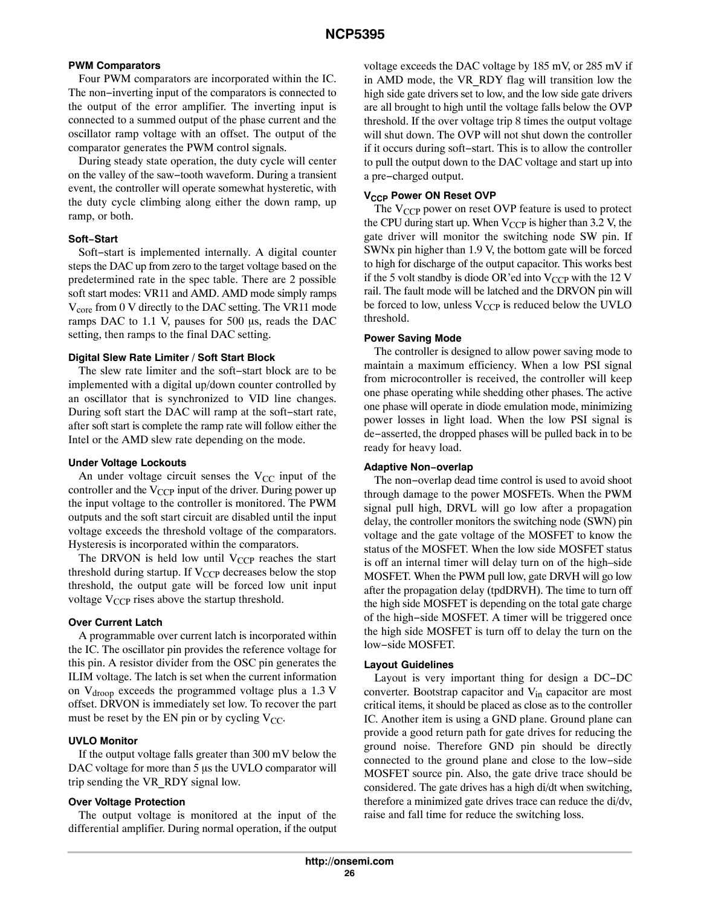### **PWM Comparators**

Four PWM comparators are incorporated within the IC. The non−inverting input of the comparators is connected to the output of the error amplifier. The inverting input is connected to a summed output of the phase current and the oscillator ramp voltage with an offset. The output of the comparator generates the PWM control signals.

During steady state operation, the duty cycle will center on the valley of the saw−tooth waveform. During a transient event, the controller will operate somewhat hysteretic, with the duty cycle climbing along either the down ramp, up ramp, or both.

### **Soft−Start**

Soft−start is implemented internally. A digital counter steps the DAC up from zero to the target voltage based on the predetermined rate in the spec table. There are 2 possible soft start modes: VR11 and AMD. AMD mode simply ramps  $V_{\text{core}}$  from 0 V directly to the DAC setting. The VR11 mode ramps DAC to  $1.1$  V, pauses for 500  $\mu$ s, reads the DAC setting, then ramps to the final DAC setting.

### **Digital Slew Rate Limiter / Soft Start Block**

The slew rate limiter and the soft−start block are to be implemented with a digital up/down counter controlled by an oscillator that is synchronized to VID line changes. During soft start the DAC will ramp at the soft−start rate, after soft start is complete the ramp rate will follow either the Intel or the AMD slew rate depending on the mode.

### **Under Voltage Lockouts**

An under voltage circuit senses the  $V_{CC}$  input of the controller and the  $V_{CCP}$  input of the driver. During power up the input voltage to the controller is monitored. The PWM outputs and the soft start circuit are disabled until the input voltage exceeds the threshold voltage of the comparators. Hysteresis is incorporated within the comparators.

The DRVON is held low until  $V_{CCP}$  reaches the start threshold during startup. If  $V_{CCP}$  decreases below the stop threshold, the output gate will be forced low unit input voltage  $V_{CCP}$  rises above the startup threshold.

### **Over Current Latch**

A programmable over current latch is incorporated within the IC. The oscillator pin provides the reference voltage for this pin. A resistor divider from the OSC pin generates the ILIM voltage. The latch is set when the current information on  $V_{\text{drop}}$  exceeds the programmed voltage plus a 1.3 V offset. DRVON is immediately set low. To recover the part must be reset by the EN pin or by cycling  $V_{CC}$ .

### **UVLO Monitor**

If the output voltage falls greater than 300 mV below the DAC voltage for more than 5 us the UVLO comparator will trip sending the VR\_RDY signal low.

#### **Over Voltage Protection**

The output voltage is monitored at the input of the differential amplifier. During normal operation, if the output voltage exceeds the DAC voltage by 185 mV, or 285 mV if in AMD mode, the VR\_RDY flag will transition low the high side gate drivers set to low, and the low side gate drivers are all brought to high until the voltage falls below the OVP threshold. If the over voltage trip 8 times the output voltage will shut down. The OVP will not shut down the controller if it occurs during soft−start. This is to allow the controller to pull the output down to the DAC voltage and start up into a pre−charged output.

### **V<sub>CCP</sub> Power ON Reset OVP**

The  $V_{CCP}$  power on reset OVP feature is used to protect the CPU during start up. When  $V_{CCP}$  is higher than 3.2 V, the gate driver will monitor the switching node SW pin. If SWNx pin higher than 1.9 V, the bottom gate will be forced to high for discharge of the output capacitor. This works best if the 5 volt standby is diode OR'ed into  $V_{CCP}$  with the 12 V rail. The fault mode will be latched and the DRVON pin will be forced to low, unless  $V_{CCP}$  is reduced below the UVLO threshold.

### **Power Saving Mode**

The controller is designed to allow power saving mode to maintain a maximum efficiency. When a low PSI signal from microcontroller is received, the controller will keep one phase operating while shedding other phases. The active one phase will operate in diode emulation mode, minimizing power losses in light load. When the low PSI signal is de−asserted, the dropped phases will be pulled back in to be ready for heavy load.

#### **Adaptive Non−overlap**

The non−overlap dead time control is used to avoid shoot through damage to the power MOSFETs. When the PWM signal pull high, DRVL will go low after a propagation delay, the controller monitors the switching node (SWN) pin voltage and the gate voltage of the MOSFET to know the status of the MOSFET. When the low side MOSFET status is off an internal timer will delay turn on of the high–side MOSFET. When the PWM pull low, gate DRVH will go low after the propagation delay (tpdDRVH). The time to turn off the high side MOSFET is depending on the total gate charge of the high−side MOSFET. A timer will be triggered once the high side MOSFET is turn off to delay the turn on the low−side MOSFET.

### **Layout Guidelines**

Layout is very important thing for design a DC−DC converter. Bootstrap capacitor and V<sub>in</sub> capacitor are most critical items, it should be placed as close as to the controller IC. Another item is using a GND plane. Ground plane can provide a good return path for gate drives for reducing the ground noise. Therefore GND pin should be directly connected to the ground plane and close to the low−side MOSFET source pin. Also, the gate drive trace should be considered. The gate drives has a high di/dt when switching, therefore a minimized gate drives trace can reduce the di/dv, raise and fall time for reduce the switching loss.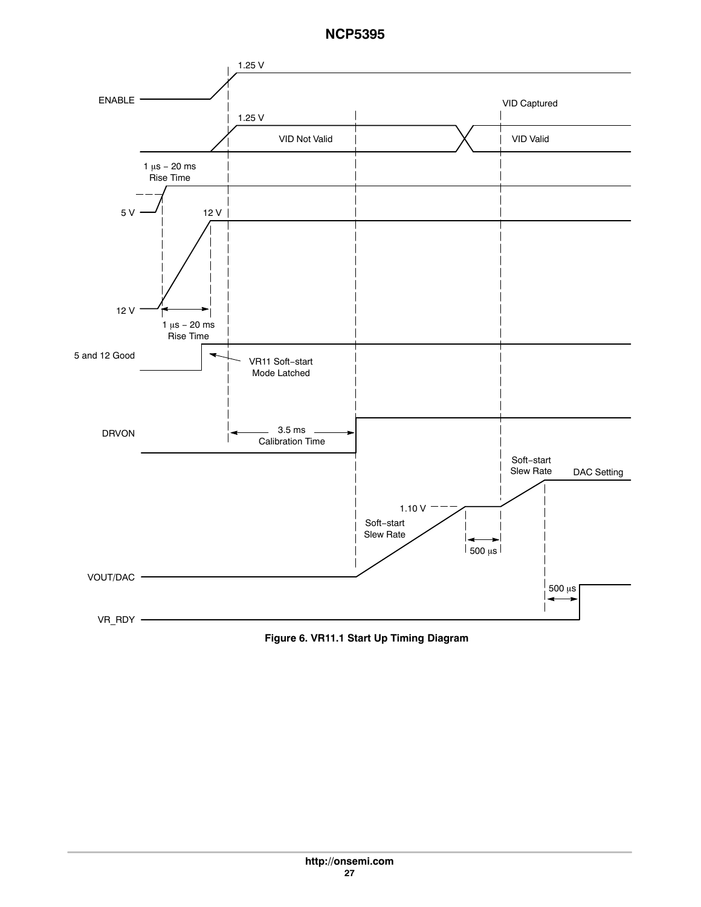

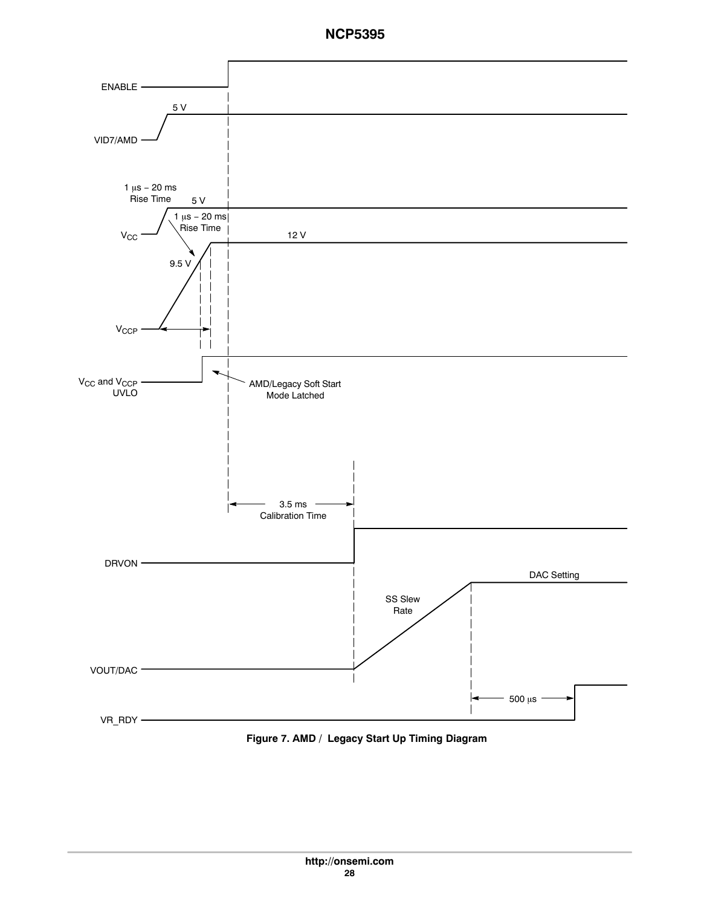

**Figure 7. AMD / Legacy Start Up Timing Diagram**